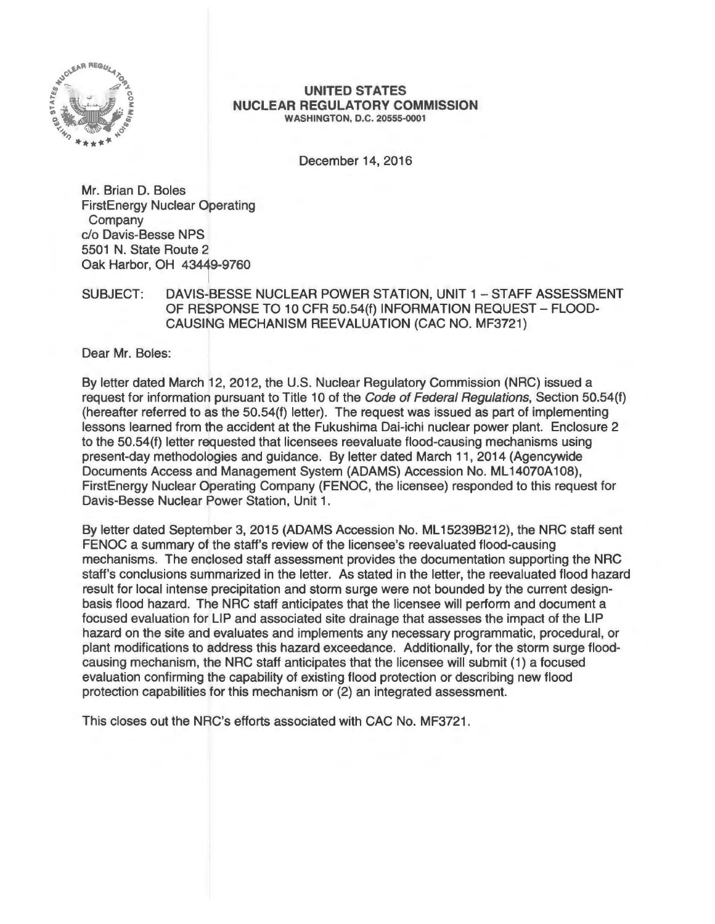

#### **UNITED STATES NUCLEAR REGULATORY COMMISSION**  WASHINGTON, D.C. 20555-0001

December 14, 2016

Mr. Brian D. Boles FirstEnergy Nuclear Operating Company c/o Davis-Besse NPS 5501 N. State Route 2 Oak Harbor, OH 43449-9760

## SUBJECT: DAVIS-BESSE NUCLEAR POWER STATION, UNIT 1 - STAFF ASSESSMENT OF RESPONSE TO 10 CFR 50.54(f) INFORMATION REQUEST- FLOOD-CAUSING MECHANISM REEVALUATION (CAC NO. MF3721)

Dear Mr. Boles:

By letter dated March 12, 2012, the U.S. Nuclear Regulatory Commission (NRG) issued a request for information pursuant to Title 10 of the Code of Federal Regulations, Section 50.54(f) (hereafter referred to as the 50.54(f) letter). The request was issued as part of implementing lessons learned from the accident at the Fukushima Dai-ichi nuclear power plant. Enclosure 2 to the 50.54(f) letter requested that licensees reevaluate flood-causing mechanisms using present-day methodologies and guidance. By letter dated March 11 , 2014 (Agencywide Documents Access and Management System (ADAMS) Accession No. ML14070A108), FirstEnergy Nuclear Operating Company (FENOC, the licensee) responded to this request for Davis-Besse Nuclear Power Station, Unit 1.

By letter dated September 3, 2015 (ADAMS Accession No. ML15239B212), the NRC staff sent FENOC a summary of the staff's review of the licensee's reevaluated flood-causing mechanisms. The enclosed staff assessment provides the documentation supporting the NRG staff's conclusions summarized in the letter. As stated in the letter, the reevaluated flood hazard result for local intense precipitation and storm surge were not bounded by the current designbasis flood hazard. The NRG staff anticipates that the licensee will perform and document a focused evaluation for LIP and associated site drainage that assesses the impact of the LIP hazard on the site and evaluates and implements any necessary programmatic, procedural, or plant modifications to address this hazard exceedance. Additionally, for the storm surge floodcausing mechanism, the NRG staff anticipates that the licensee will submit (1) a focused evaluation confirming the capability of existing flood protection or describing new flood protection capabilities for this mechanism or (2) an integrated assessment.

This closes out the NRC's efforts associated with CAC No. MF3721.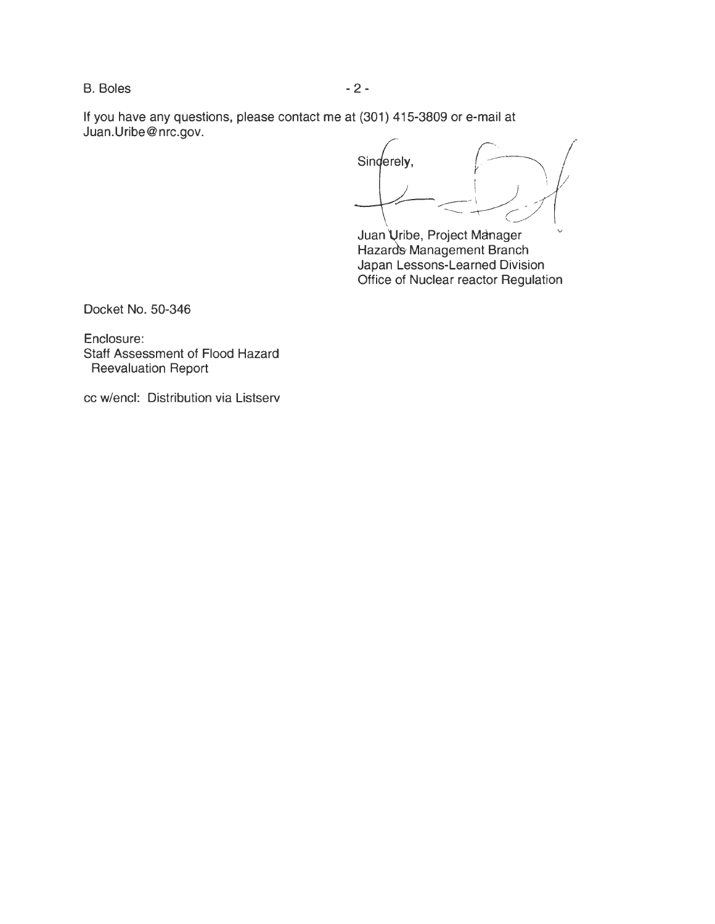B. Boles - 2 -

If you have any questions, please contact me at (301) 415-3809 or e-mail at Juan.Uribe@nrc.gov.

Sinderely,

Juan Uribe, Project Manager Hazards Management Branch Japan Lessons-Learned Division Office of Nuclear reactor Regulation

Docket No. 50-346

Enclosure: Staff Assessment of Flood Hazard Reevaluation Report

cc w/encl: Distribution via Listserv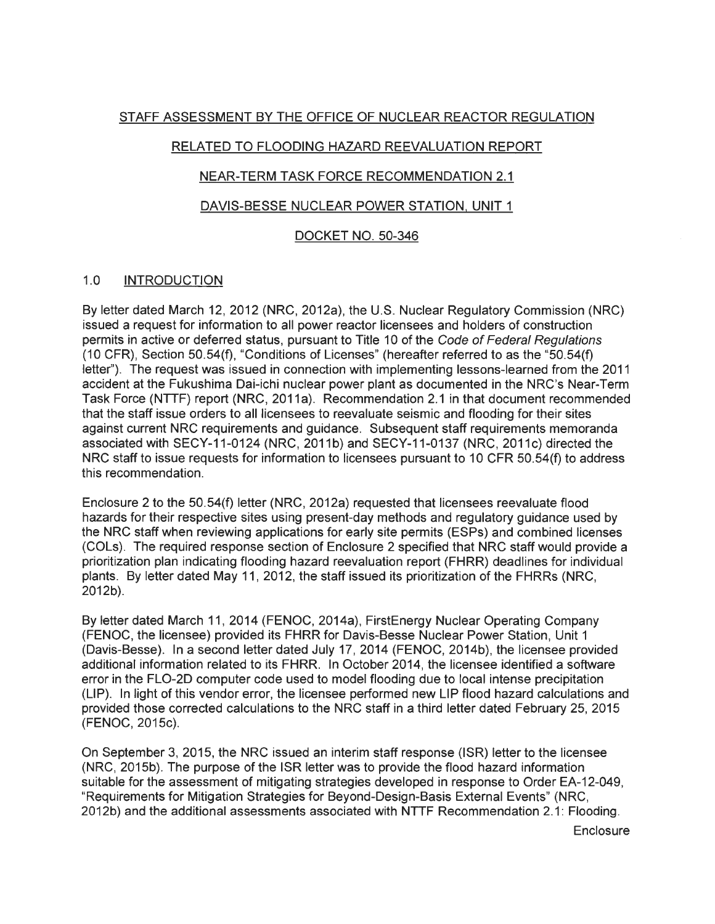# STAFF ASSESSMENT BY THE OFFICE OF NUCLEAR REACTOR REGULATION

# RELATED TO FLOODING HAZARD REEVALUATION REPORT

# NEAR-TERM TASK FORCE RECOMMENDATION 2.1

# DAVIS-BESSE NUCLEAR POWER STATION. UNIT 1

# DOCKET NO. 50-346

# 1.0 INTRODUCTION

By letter dated March 12, 2012 (NRC, 2012a), the U.S. Nuclear Regulatory Commission (NRC) issued a request for information to all power reactor licensees and holders of construction permits in active or deferred status, pursuant to Title 10 of the Code of Federal Regulations (10 CFR), Section 50.54(f), "Conditions of Licenses" (hereafter referred to as the "50.54(f) letter''). The request was issued in connection with implementing lessons-learned from the 2011 accident at the Fukushima Dai-ichi nuclear power plant as documented in the NRC's Near-Term Task Force (NTTF) report (NRC, 2011a). Recommendation 2.1 in that document recommended that the staff issue orders to all licensees to reevaluate seismic and flooding for their sites against current NRC requirements and guidance. Subsequent staff requirements memoranda associated with SECY-11-0124 (NRC, 2011b) and SECY-11-0137 (NRC, 2011c) directed the NRC staff to issue requests for information to licensees pursuant to 10 CFR 50.54(f) to address this recommendation.

Enclosure 2 to the 50.54(f) letter (NRC, 2012a) requested that licensees reevaluate flood hazards for their respective sites using present-day methods and regulatory guidance used by the NRC staff when reviewing applications for early site permits (ESPs) and combined licenses (COLs). The required response section of Enclosure 2 specified that NRC staff would provide a prioritization plan indicating flooding hazard reevaluation report (FHRR) deadlines for individual plants. By letter dated May 11 , 2012, the staff issued its prioritization of the FHRRs (NRC, 2012b).

By letter dated March 11 , 2014 (FENOC, 2014a), FirstEnergy Nuclear Operating Company (FENOC, the licensee) provided its FHRR for Davis-Besse Nuclear Power Station, Unit 1 (Davis-Besse). In a second letter dated July 17, 2014 (FENOC, 2014b), the licensee provided additional information related to its FHRR. In October 2014, the licensee identified a software error in the FL0-2D computer code used to model flooding due to local intense precipitation (LIP). In light of this vendor error, the licensee performed new LIP flood hazard calculations and provided those corrected calculations to the NRC staff in a third letter dated February 25, 2015 (FENOC, 2015c).

On September 3, 2015, the NRC issued an interim staff response (ISR) letter to the licensee (NRC, 2015b). The purpose of the ISR letter was to provide the flood hazard information suitable for the assessment of mitigating strategies developed in response to Order EA-12-049, "Requirements for Mitigation Strategies for Beyond-Design-Basis External Events" (NRC, 2012b) and the additional assessments associated with NTTF Recommendation 2.1: Flooding.

**Enclosure**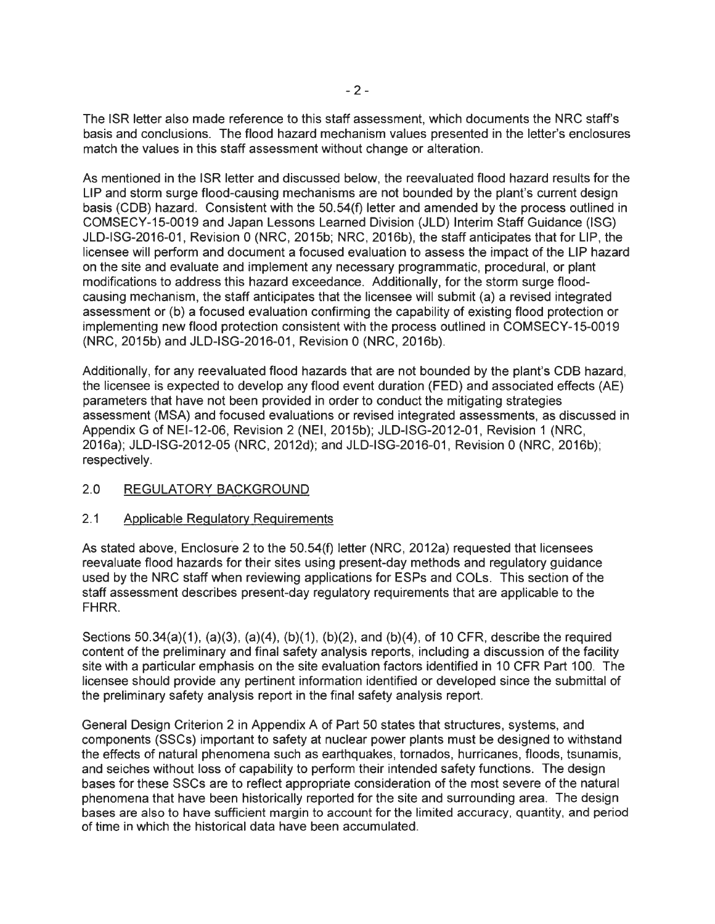The ISR letter also made reference to this staff assessment, which documents the NRC staff's basis and conclusions. The flood hazard mechanism values presented in the letter's enclosures match the values in this staff assessment without change or alteration.

As mentioned in the ISR letter and discussed below, the reevaluated flood hazard results for the LIP and storm surge flood-causing mechanisms are not bounded by the plant's current design basis (COB) hazard. Consistent with the 50.54(f) letter and amended by the process outlined in COMSECY-15-0019 and Japan Lessons Learned Division (JLD) Interim Staff Guidance (ISG) JLD-ISG-2016-01, Revision 0 (NRC, 2015b; NRC, 2016b), the staff anticipates that for LIP, the licensee will perform and document a focused evaluation to assess the impact of the LIP hazard on the site and evaluate and implement any necessary programmatic, procedural, or plant modifications to address this hazard exceedance. Additionally, for the storm surge floodcausing mechanism, the staff anticipates that the licensee will submit (a) a revised integrated assessment or (b) a focused evaluation confirming the capability of existing flood protection or implementing new flood protection consistent with the process outlined in COMSECY-15-0019 (NRC, 2015b) and JLD-ISG-2016-01 , Revision 0 (NRC, 2016b).

Additionally, for any reevaluated flood hazards that are not bounded by the plant's CDB hazard, the licensee is expected to develop any flood event duration (FED) and associated effects (AE) parameters that have not been provided in order to conduct the mitigating strategies assessment (MSA) and focused evaluations or revised integrated assessments, as discussed in Appendix G of NEI-12-06, Revision 2 (NEI, 2015b); JLD-ISG-2012-01, Revision 1 (NRC, 2016a); JLD-ISG-2012-05 (NRC, 2012d); and JLD-ISG-2016-01 , Revision 0 (NRC, 2016b); respectively.

# 2.0 REGULATORY BACKGROUND

### 2.1 Applicable Regulatory Requirements

As stated above, Enclosure 2 to the 50.54(f) letter (NRC, 2012a) requested that licensees reevaluate flood hazards for their sites using present-day methods and regulatory guidance used by the NRC staff when reviewing applications for ESPs and COLs. This section of the staff assessment describes present-day regulatory requirements that are applicable to the FHRR.

Sections  $50.34(a)(1)$ ,  $(a)(3)$ ,  $(a)(4)$ ,  $(b)(1)$ ,  $(b)(2)$ , and  $(b)(4)$ , of 10 CFR, describe the required content of the preliminary and final safety analysis reports, including a discussion of the facility site with a particular emphasis on the site evaluation factors identified in 10 CFR Part 100. The licensee should provide any pertinent information identified or developed since the submittal of the preliminary safety analysis report in the final safety analysis report.

General Design Criterion 2 in Appendix A of Part 50 states that structures, systems, and components (SSCs) important to safety at nuclear power plants must be designed to withstand the effects of natural phenomena such as earthquakes, tornados, hurricanes, floods, tsunamis, and seiches without loss of capability to perform their intended safety functions. The design bases for these SSCs are to reflect appropriate consideration of the most severe of the natural phenomena that have been historically reported for the site and surrounding area. The design bases are also to have sufficient margin to account for the limited accuracy, quantity, and period of time in which the historical data have been accumulated.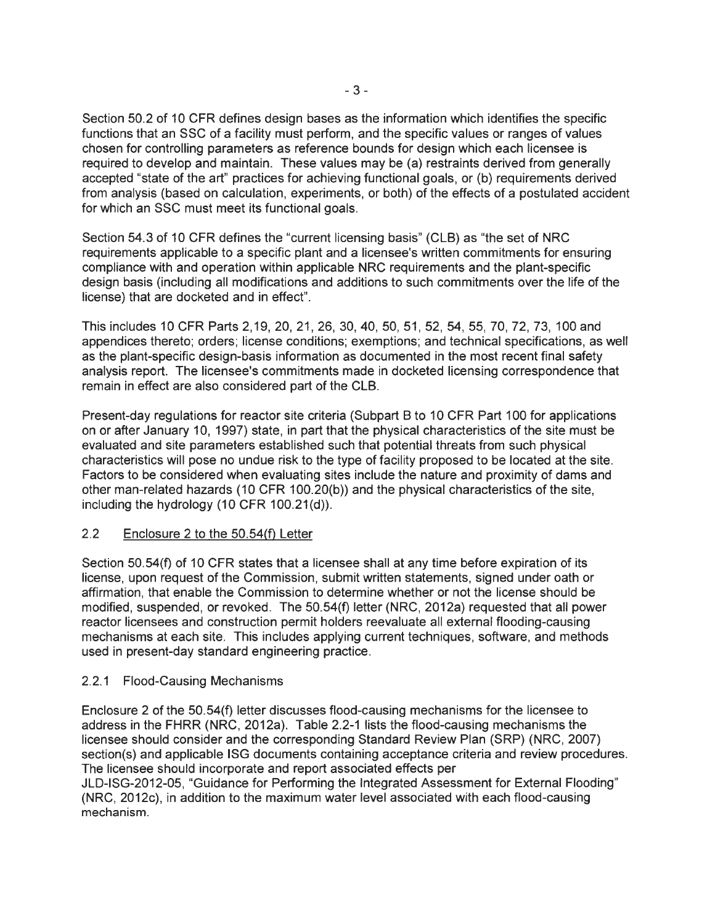Section 50.2 of 10 CFR defines design bases as the information which identifies the specific functions that an SSC of a facility must perform, and the specific values or ranges of values chosen for controlling parameters as reference bounds for design which each licensee is required to develop and maintain. These values may be (a) restraints derived from generally accepted "state of the art" practices for achieving functional goals, or (b) requirements derived from analysis (based on calculation, experiments, or both) of the effects of a postulated accident for which an SSC must meet its functional goals.

Section 54.3 of 10 CFR defines the "current licensing basis" (CLB) as "the set of NRC requirements applicable to a specific plant and a licensee's written commitments for ensuring compliance with and operation within applicable NRC requirements and the plant-specific design basis (including all modifications and additions to such commitments over the life of the license) that are docketed and in effect".

This includes 10 CFR Parts 2, 19, 20, 21 , 26, 30, 40, 50, 51 , 52, 54, 55, 70, 72, 73, 100 and appendices thereto; orders; license conditions; exemptions; and technical specifications, as well as the plant-specific design-basis information as documented in the most recent final safety analysis report. The licensee's commitments made in docketed licensing correspondence that remain in effect are also considered part of the CLB.

Present-day regulations for reactor site criteria (Subpart B to 10 CFR Part 100 for applications on or after January 10, 1997) state, in part that the physical characteristics of the site must be evaluated and site parameters established such that potential threats from such physical characteristics will pose no undue risk to the type of facility proposed to be located at the site. Factors to be considered when evaluating sites include the nature and proximity of dams and other man-related hazards (10 CFR 100.20(b)) and the physical characteristics of the site, including the hydrology (10 CFR 100.21(d)).

# 2.2 Enclosure 2 to the 50.54(f) Letter

Section 50.54(f) of 10 CFR states that a licensee shall at any time before expiration of its license, upon request of the Commission, submit written statements, signed under oath or affirmation, that enable the Commission to determine whether or not the license should be modified, suspended, or revoked. The 50.54(f) letter (NRC, 2012a) requested that all power reactor licensees and construction permit holders reevaluate all external flooding-causing mechanisms at each site. This includes applying current techniques, software, and methods used in present-day standard engineering practice.

# 2.2.1 Flood-Causing Mechanisms

Enclosure 2 of the 50.54(f) letter discusses flood-causing mechanisms for the licensee to address in the FHRR (NRC, 2012a). Table 2.2-1 lists the flood-causing mechanisms the licensee should consider and the corresponding Standard Review Plan (SRP) (NRC, 2007) section(s) and applicable ISG documents containing acceptance criteria and review procedures. The licensee should incorporate and report associated effects per

JLD-ISG-2012-05, "Guidance for Performing the Integrated Assessment for External Flooding" (NRC, 2012c), in addition to the maximum water level associated with each flood-causing mechanism.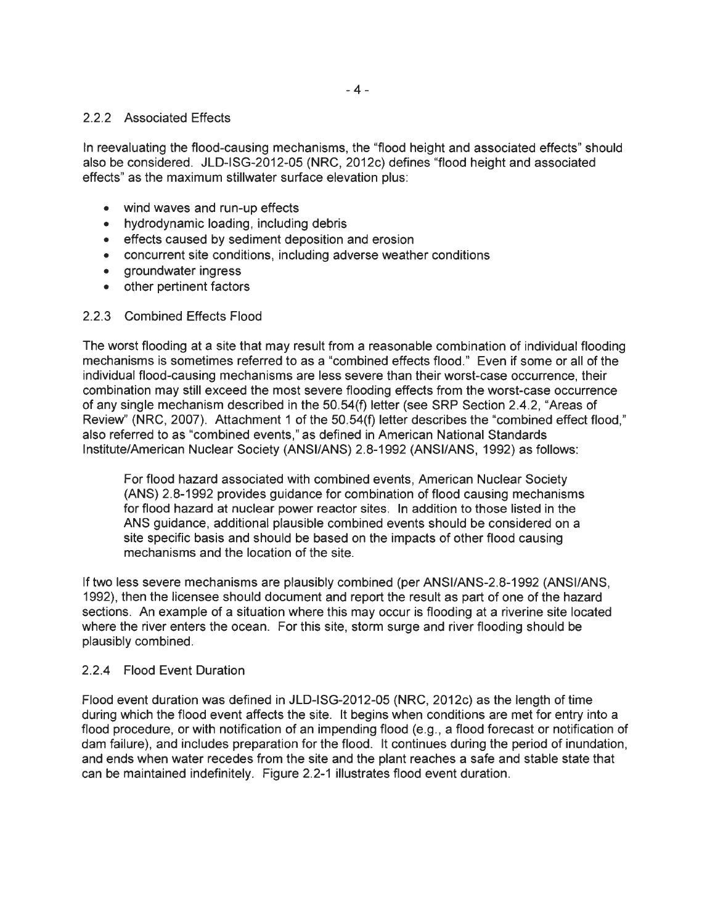## 2.2.2 Associated Effects

In reevaluating the flood-causing mechanisms, the "flood height and associated effects" should also be considered. JLD-ISG-2012-05 (NRC, 2012c) defines "flood height and associated effects" as the maximum stillwater surface elevation plus:

- wind waves and run-up effects
- hydrodynamic loading, including debris
- effects caused by sediment deposition and erosion
- concurrent site conditions, including adverse weather conditions
- groundwater ingress
- other pertinent factors

### 2.2.3 Combined Effects Flood

The worst flooding at a site that may result from a reasonable combination of individual flooding mechanisms is sometimes referred to as a "combined effects flood ." Even if some or all of the individual flood-causing mechanisms are less severe than their worst-case occurrence, their combination may still exceed the most severe flooding effects from the worst-case occurrence of any single mechanism described in the 50.54(f) letter (see SRP Section 2.4.2, "Areas of Review" (NRG, 2007). Attachment 1 of the 50.54(f) letter describes the "combined effect flood," also referred to as "combined events," as defined in American National Standards Institute/American Nuclear Society (ANSI/ANS) 2.8-1992 (ANSI/ANS, 1992) as follows:

For flood hazard associated with combined events, American Nuclear Society (ANS) 2.8-1992 provides guidance for combination of flood causing mechanisms for flood hazard at nuclear power reactor sites. In addition to those listed in the ANS guidance, additional plausible combined events should be considered on a site specific basis and should be based on the impacts of other flood causing mechanisms and the location of the site.

If two less severe mechanisms are plausibly combined (per ANSl/ANS-2.8-1992 (ANSI/ANS, 1992), then the licensee should document and report the result as part of one of the hazard sections. An example of a situation where this may occur is flooding at a riverine site located where the river enters the ocean. For this site, storm surge and river flooding should be plausibly combined.

### 2.2.4 Flood Event Duration

Flood event duration was defined in JLD-ISG-2012-05 (NRG, 2012c) as the length of time during which the flood event affects the site. It begins when conditions are met for entry into a flood procedure, or with notification of an impending flood (e.g., a flood forecast or notification of dam failure), and includes preparation for the flood. It continues during the period of inundation, and ends when water recedes from the site and the plant reaches a safe and stable state that can be maintained indefinitely. Figure 2.2-1 illustrates flood event duration.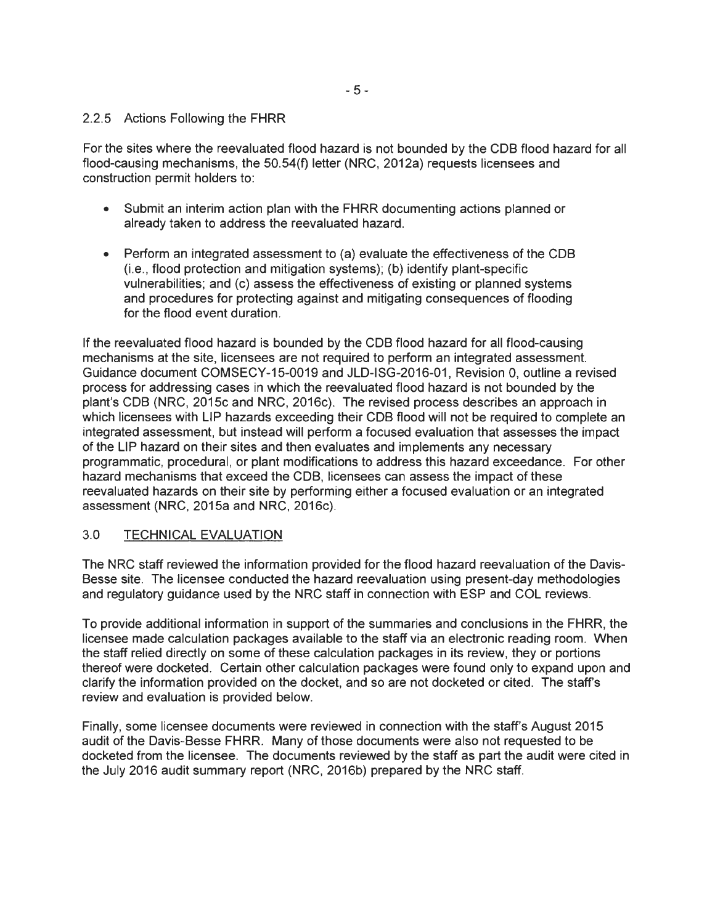## 2.2.5 Actions Following the FHRR

For the sites where the reevaluated flood hazard is not bounded by the COB flood hazard for all flood-causing mechanisms, the 50.54(f) letter (NRC, 2012a) requests licensees and construction permit holders to:

- Submit an interim action plan with the FHRR documenting actions planned or already taken to address the reevaluated hazard.
- Perform an integrated assessment to (a) evaluate the effectiveness of the COB (i.e. , flood protection and mitigation systems); (b) identify plant-specific vulnerabilities; and (c) assess the effectiveness of existing or planned systems and procedures for protecting against and mitigating consequences of flooding for the flood event duration.

If the reevaluated flood hazard is bounded by the COB flood hazard for all flood-causing mechanisms at the site, licensees are not required to perform an integrated assessment. Guidance document COMSECY-15-0019 and JLD-ISG-2016-01 , Revision 0, outline a revised process for addressing cases in which the reevaluated flood hazard is not bounded by the plant's COB (NRC, 2015c and NRC, 2016c). The revised process describes an approach in which licensees with LIP hazards exceeding their CDB flood will not be required to complete an integrated assessment, but instead will perform a focused evaluation that assesses the impact of the LIP hazard on their sites and then evaluates and implements any necessary programmatic, procedural, or plant modifications to address this hazard exceedance. For other hazard mechanisms that exceed the COB, licensees can assess the impact of these reevaluated hazards on their site by performing either a focused evaluation or an integrated assessment (NRC, 2015a and NRC, 2016c).

# 3.0 TECHNICAL EVALUATION

The NRC staff reviewed the information provided for the flood hazard reevaluation of the Davis-Besse site. The licensee conducted the hazard reevaluation using present-day methodologies and regulatory guidance used by the NRC staff in connection with ESP and COL reviews.

To provide additional information in support of the summaries and conclusions in the FHRR, the licensee made calculation packages available to the staff via an electronic reading room. When the staff relied directly on some of these calculation packages in its review, they or portions thereof were docketed. Certain other calculation packages were found only to expand upon and clarify the information provided on the docket, and so are not docketed or cited. The staff's review and evaluation is provided below.

Finally, some licensee documents were reviewed in connection with the staff's August 2015 audit of the Davis-Besse FHRR. Many of those documents were also not requested to be docketed from the licensee. The documents reviewed by the staff as part the audit were cited in the July 2016 audit summary report (NRC, 2016b) prepared by the NRC staff.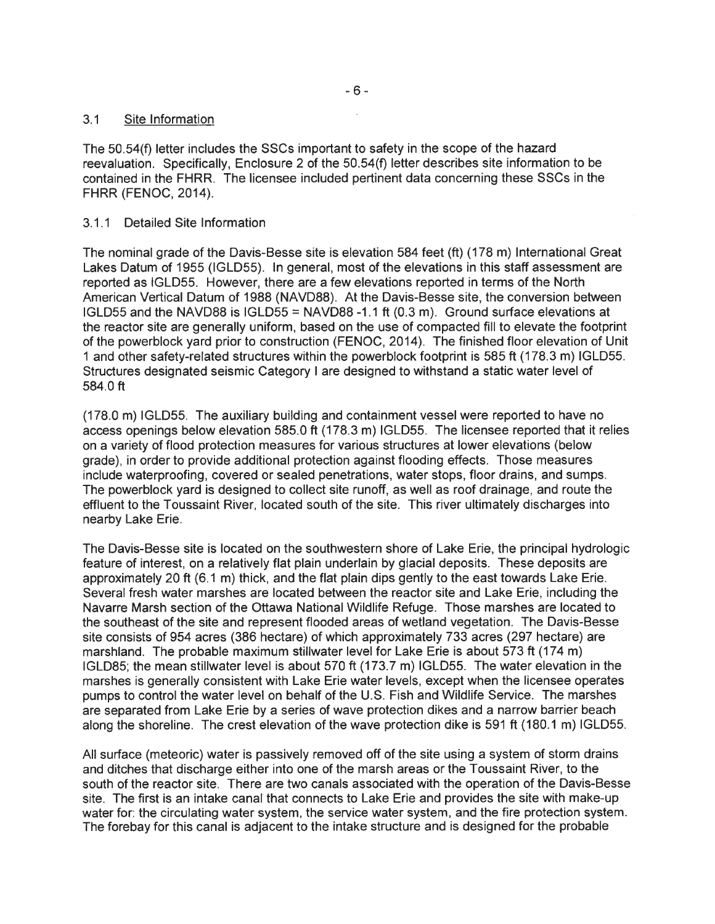## 3.1 Site Information

The 50.54(f) letter includes the SSCs important to safety in the scope of the hazard reevaluation. Specifically, Enclosure 2 of the 50.54(f) letter describes site information to be contained in the FHRR. The licensee included pertinent data concerning these SSCs in the FHRR (FENOC, 2014).

## 3.1.1 Detailed Site Information

The nominal grade of the Davis-Besse site is elevation 584 feet (ft) (178 m) International Great Lakes Datum of 1955 (IGLD55). In general, most of the elevations in this staff assessment are reported as IGLD55. However, there are a few elevations reported in terms of the North American Vertical Datum of 1988 (NAVD88). At the Davis-Besse site, the conversion between IGLD55 and the NAVD88 is IGLD55 = NAVD88 -1.1 ft (0.3 m). Ground surface elevations at the reactor site are generally uniform, based on the use of compacted fill to elevate the footprint of the powerblock yard prior to construction (FENOC, 2014). The finished floor elevation of Unit 1 and other safety-related structures within the powerblock footprint is 585 ft (178.3 m) IGLD55. Structures designated seismic Category I are designed to withstand a static water level of 584.0 ft

(178.0 m) IGLD55. The auxiliary building and containment vessel were reported to have no access openings below elevation 585.0 ft (178.3 m) IGLD55. The licensee reported that it relies on a variety of flood protection measures for various structures at lower elevations (below grade), in order to provide additional protection against flooding effects. Those measures include waterproofing, covered or sealed penetrations, water stops, floor drains, and sumps. The powerblock yard is designed to collect site runoff, as well as roof drainage, and route the effluent to the Toussaint River, located south of the site. This river ultimately discharges into nearby Lake Erie.

The Davis-Besse site is located on the southwestern shore of Lake Erie, the principal hydrologic feature of interest, on a relatively flat plain underlain by glacial deposits. These deposits are approximately 20 ft (6.1 m) thick, and the flat plain dips gently to the east towards Lake Erie. Several fresh water marshes are located between the reactor site and Lake Erie, including the Navarre Marsh section of the Ottawa National Wildlife Refuge. Those marshes are located to the southeast of the site and represent flooded areas of wetland vegetation. The Davis-Besse site consists of 954 acres (386 hectare) of which approximately 733 acres (297 hectare) are marshland. The probable maximum stillwater level for Lake Erie is about 573 ft (174 m) IGLD85; the mean stillwater level is about 570 ft (173.7 m) IGLD55. The water elevation in the marshes is generally consistent with Lake Erie water levels, except when the licensee operates pumps to control the water level on behalf of the U.S. Fish and Wildlife Service. The marshes are separated from Lake Erie by a series of wave protection dikes and a narrow barrier beach along the shoreline. The crest elevation of the wave protection dike is 591 ft (180.1 m) IGLD55.

All surface (meteoric) water is passively removed off of the site using a system of storm drains and ditches that discharge either into one of the marsh areas or the Toussaint River, to the south of the reactor site. There are two canals associated with the operation of the Davis-Besse site. The first is an intake canal that connects to Lake Erie and provides the site with make-up water for: the circulating water system, the service water system, and the fire protection system. The forebay for this canal is adjacent to the intake structure and is designed for the probable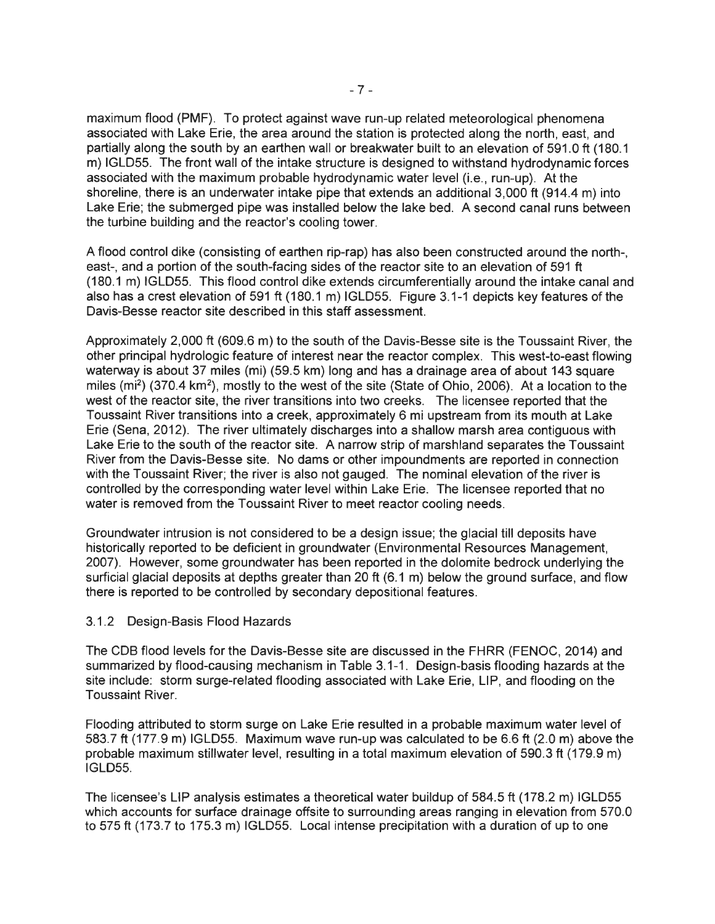maximum flood (PMF). To protect against wave run-up related meteorological phenomena associated with Lake Erie, the area around the station is protected along the north, east, and partially along the south by an earthen wall or breakwater built to an elevation of 591.0 ft (180.1 m) IGLD55. The front wall of the intake structure is designed to withstand hydrodynamic forces associated with the maximum probable hydrodynamic water level (i.e., run-up). At the shoreline, there is an underwater intake pipe that extends an additional 3,000 ft (914.4 m) into Lake Erie; the submerged pipe was installed below the lake bed. A second canal runs between the turbine building and the reactor's cooling tower.

A flood control dike (consisting of earthen rip-rap) has also been constructed around the north-, east-, and a portion of the south-facing sides of the reactor site to an elevation of 591 ft (180.1 m) IGLD55. This flood control dike extends circumferentially around the intake canal and also has a crest elevation of 591 ft (180.1 m) IGLD55. Figure 3.1-1 depicts key features of the Davis-Besse reactor site described in this staff assessment.

Approximately 2,000 ft (609.6 m) to the south of the Davis-Besse site is the Toussaint River, the other principal hydrologic feature of interest near the reactor complex. This west-to-east flowing waterway is about 37 miles (mi) (59.5 km) long and has a drainage area of about 143 square miles (mi<sup>2</sup>) (370.4 km<sup>2</sup>), mostly to the west of the site (State of Ohio, 2006). At a location to the west of the reactor site, the river transitions into two creeks. The licensee reported that the Toussaint River transitions into a creek, approximately 6 mi upstream from its mouth at Lake Erie (Sena, 2012). The river ultimately discharges into a shallow marsh area contiguous with Lake Erie to the south of the reactor site. A narrow strip of marshland separates the Toussaint River from the Davis-Besse site. No dams or other impoundments are reported in connection with the Toussaint River; the river is also not gauged. The nominal elevation of the river is controlled by the corresponding water level within Lake Erie. The licensee reported that no water is removed from the Toussaint River to meet reactor cooling needs.

Groundwater intrusion is not considered to be a design issue; the glacial till deposits have historically reported to be deficient in groundwater (Environmental Resources Management, 2007). However, some groundwater has been reported in the dolomite bedrock underlying the surficial glacial deposits at depths greater than 20 ft (6.1 m) below the ground surface, and flow there is reported to be controlled by secondary depositional features.

### 3.1.2 Design-Basis Flood Hazards

The CDB flood levels for the Davis-Besse site are discussed in the FHRR (FENOC, 2014) and summarized by flood-causing mechanism in Table 3.1-1 . Design-basis flooding hazards at the site include: storm surge-related flooding associated with Lake Erie, LIP, and flooding on the Toussaint River.

Flooding attributed to storm surge on Lake Erie resulted in a probable maximum water level of 583.7 ft (177.9 m) IGLD55. Maximum wave run-up was calculated to be 6.6 ft (2.0 m) above the probable maximum stillwater level, resulting in a total maximum elevation of 590.3 ft (179.9 m) IGLD55.

The licensee's LIP analysis estimates a theoretical water buildup of 584.5 ft (178.2 m) IGLD55 which accounts for surface drainage offsite to surrounding areas ranging in elevation from 570.0 to 575 ft (173.7 to 175.3 m) IGLD55. Local intense precipitation with a duration of up to one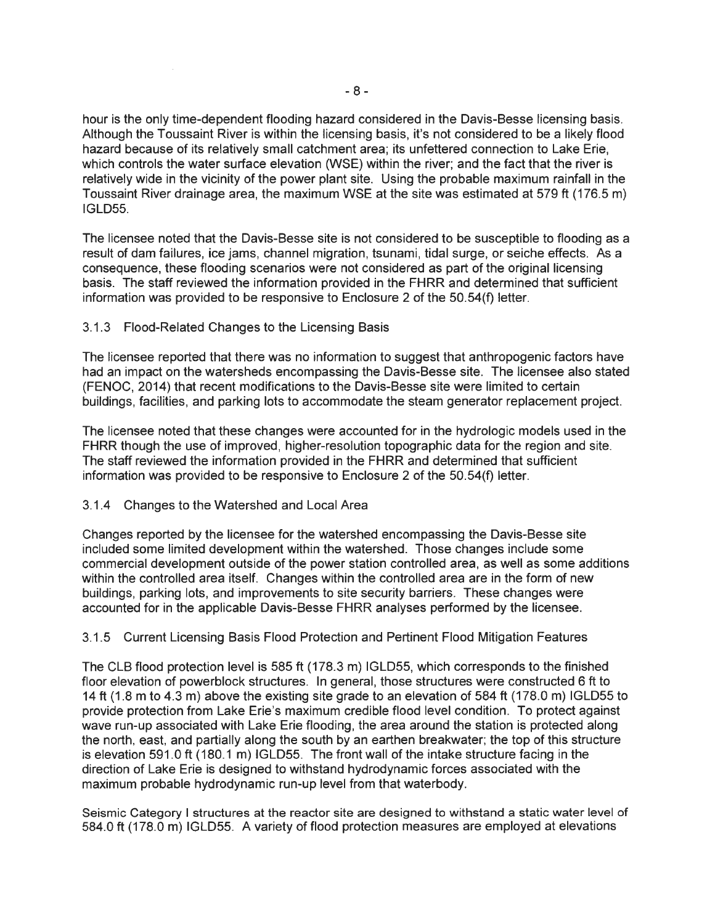hour is the only time-dependent flooding hazard considered in the Davis-Besse licensing basis. Although the Toussaint River is within the licensing basis, it's not considered to be a likely flood hazard because of its relatively small catchment area; its unfettered connection to Lake Erie, which controls the water surface elevation (WSE) within the river; and the fact that the river is relatively wide in the vicinity of the power plant site. Using the probable maximum rainfall in the Toussaint River drainage area, the maximum WSE at the site was estimated at 579 ft (176.5 m) IGLD55.

The licensee noted that the Davis-Besse site is not considered to be susceptible to flooding as a result of dam failures, ice jams, channel migration, tsunami, tidal surge, or seiche effects. As a consequence, these flboding scenarios were not considered as part of the original licensing basis. The staff reviewed the information provided in the FHRR and determined that sufficient information was provided to be responsive to Enclosure 2 of the 50.54(f) letter.

### 3.1.3 Flood-Related Changes to the Licensing Basis

The licensee reported that there was no information to suggest that anthropogenic factors have had an impact on the watersheds encompassing the Davis-Besse site. The licensee also stated (FENOC, 2014) that recent modifications to the Davis-Besse site were limited to certain buildings, facilities, and parking lots to accommodate the steam generator replacement project.

The licensee noted that these changes were accounted for in the hydrologic models used in the FHRR though the use of improved, higher-resolution topographic data for the region and site. The staff reviewed the information provided in the FHRR and determined that sufficient information was provided to be responsive to Enclosure 2 of the 50.54(f) letter.

#### 3.1.4 Changes to the Watershed and Local Area

Changes reported by the licensee for the watershed encompassing the Davis-Besse site included some limited development within the watershed. Those changes include some commercial development outside of the power station controlled area, as well as some additions within the controlled area itself. Changes within the controlled area are in the form of new buildings, parking lots, and improvements to site security barriers. These changes were accounted for in the applicable Davis-Besse FHRR analyses performed by the licensee.

### 3.1.5 Current Licensing Basis Flood Protection and Pertinent Flood Mitigation Features

The CLB flood protection level is 585 ft (178.3 m) IGLD55, which corresponds to the finished floor elevation of powerblock structures. In general, those structures were constructed 6 ft to 14 ft (1.8 m to 4.3 m) above the existing site grade to an elevation of 584 ft (178.0 m) IGLD55 to provide protection from Lake Erie's maximum credible flood level condition. To protect against wave run-up associated with Lake Erie flooding, the area around the station is protected along the north, east, and partially along the south by an earthen breakwater; the top of this structure is elevation 591.0 ft (180.1 m) IGLD55. The front wall of the intake structure facing in the direction of Lake Erie is designed to withstand hydrodynamic forces associated with the maximum probable hydrodynamic run-up level from that waterbody.

Seismic Category I structures at the reactor site are designed to withstand a static water level of 584.0 ft (178.0 m) IGLD55. A variety of flood protection measures are employed at elevations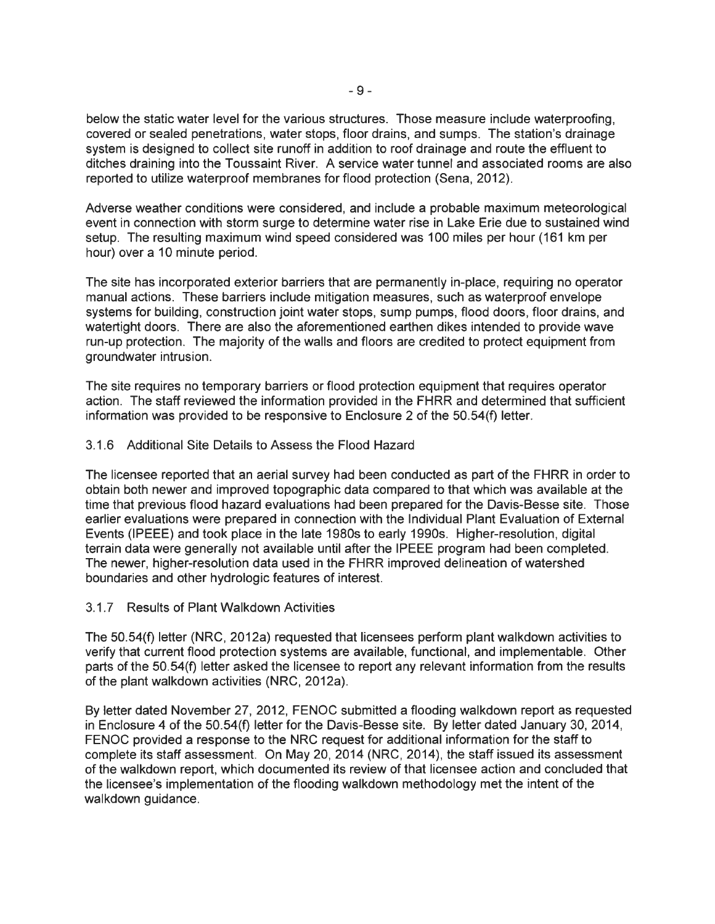below the static water level for the various structures. Those measure include waterproofing, covered or sealed penetrations, water stops, floor drains, and sumps. The station's drainage system is designed to collect site runoff in addition to roof drainage and route the effluent to ditches draining into the Toussaint River. A service water tunnel and associated rooms are also reported to utilize waterproof membranes for flood protection (Sena, 2012).

Adverse weather conditions were considered, and include a probable maximum meteorological event in connection with storm surge to determine water rise in Lake Erie due to sustained wind setup. The resulting maximum wind speed considered was 100 miles per hour (161 km per hour) over a 10 minute period.

The site has incorporated exterior barriers that are permanently in-place, requiring no operator manual actions. These barriers include mitigation measures, such as waterproof envelope systems for building, construction joint water stops, sump pumps, flood doors, floor drains, and watertight doors. There are also the aforementioned earthen dikes intended to provide wave run-up protection. The majority of the walls and floors are credited to protect equipment from groundwater intrusion.

The site requires no temporary barriers or flood protection equipment that requires operator action. The staff reviewed the information provided in the FHRR and determined that sufficient information was provided to be responsive to Enclosure 2 of the  $50.54(f)$  letter.

### 3.1.6 Additional Site Details to Assess the Flood Hazard

The licensee reported that an aerial survey had been conducted as part of the FHRR in order to obtain both newer and improved topographic data compared to that which was available at the time that previous flood hazard evaluations had been prepared for the Davis-Besse site. Those earlier evaluations were prepared in connection with the Individual Plant Evaluation of External Events (IPEEE) and took place in the late 1980s to early 1990s. Higher-resolution, digital terrain data were generally not available until after the IPEEE program had been completed. The newer, higher-resolution data used in the FHRR improved delineation of watershed boundaries and other hydrologic features of interest.

### 3. 1. 7 Results of Plant Walkdown Activities

The 50.54(f) letter (NRC, 2012a) requested that licensees perform plant walkdown activities to verify that current flood protection systems are available, functional, and implementable. Other parts of the 50.54(f) letter asked the licensee to report any relevant information from the results of the plant walkdown activities (NRC, 2012a).

By letter dated November 27, 2012, FENOC submitted a flooding walkdown report as requested in Enclosure 4 of the 50.54(f) letter for the Davis-Besse site. By letter dated January 30, 2014, FENOC provided a response to the NRC request for additional information for the staff to complete its staff assessment. On May 20, 2014 (NRC, 2014), the staff issued its assessment of the walkdown report, which documented its review of that licensee action and concluded that the licensee's implementation of the flooding walkdown methodology met the intent of the walkdown guidance.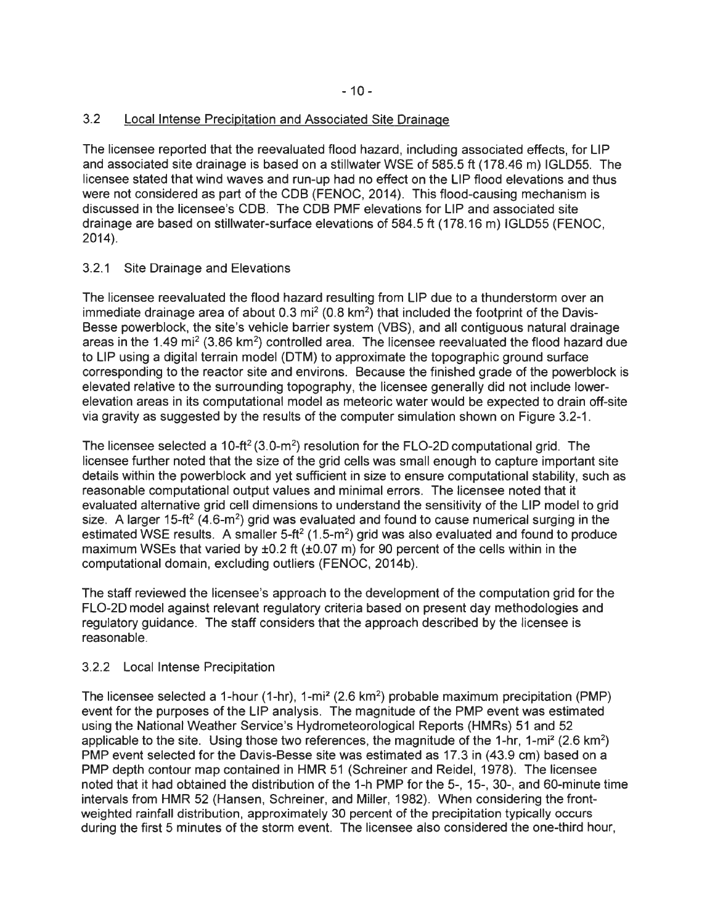# 3.2 Local Intense Precipitation and Associated Site Drainage

The licensee reported that the reevaluated flood hazard, including associated effects, for LIP and associated site drainage is based on a stillwater WSE of 585.5 ft (178.46 m) IGLD55. The licensee stated that wind waves and run-up had no effect on the LIP flood elevations and thus were not considered as part of the CDB (FENOC, 2014). This flood-causing mechanism is discussed in the licensee's COB. The COB PMF elevations for LIP and associated site drainage are based on stillwater-surface elevations of 584.5 ft (178.16 m) IGLD55 (FENOC, 2014).

# 3.2.1 Site Drainage and Elevations

The licensee reevaluated the flood hazard resulting from LIP due to a thunderstorm over an immediate drainage area of about  $0.3$  mi<sup>2</sup> ( $0.8$  km<sup>2</sup>) that included the footprint of the Davis-Besse powerblock, the site's vehicle barrier system (VBS), and all contiguous natural drainage areas in the 1.49 mi<sup>2</sup> (3.86 km<sup>2</sup>) controlled area. The licensee reevaluated the flood hazard due to LIP using a digital terrain model (DTM) to approximate the topographic ground surface corresponding to the reactor site and environs. Because the finished grade of the powerblock is elevated relative to the surrounding topography, the licensee generally did not include lowerelevation areas in its computational model as meteoric water would be expected to drain off-site via gravity as suggested by the results of the computer simulation shown on Figure 3.2-1 .

The licensee selected a 10-ft<sup>2</sup> (3.0-m<sup>2</sup>) resolution for the FLO-2D computational grid. The licensee further noted that the size of the grid cells was small enough to capture important site details within the powerblock and yet sufficient in size to ensure computational stability, such as reasonable computational output values and minimal errors. The licensee noted that it evaluated alternative grid cell dimensions to understand the sensitivity of the LIP model to grid size. A larger 15-ft<sup>2</sup> (4.6-m<sup>2</sup>) grid was evaluated and found to cause numerical surging in the estimated WSE results. A smaller  $5-ft^2(1.5-m^2)$  grid was also evaluated and found to produce maximum WSEs that varied by  $\pm 0.2$  ft ( $\pm 0.07$  m) for 90 percent of the cells within in the computational domain, excluding outliers (FENOC, 2014b).

The staff reviewed the licensee's approach to the development of the computation grid for the FL0-20 model against relevant regulatory criteria based on present day methodologies and regulatory guidance. The staff considers that the approach described by the licensee is reasonable.

# 3.2.2 Local Intense Precipitation

The licensee selected a 1-hour (1-hr), 1-mi2 (2.6 km2) probable maximum precipitation (PMP) event for the purposes of the LIP analysis. The magnitude of the PMP event was estimated using the National Weather Service's Hydrometeorological Reports (HMRs) 51 and 52 applicable to the site. Using those two references, the magnitude of the 1-hr, 1-mi<sup>2</sup> (2.6 km<sup>2</sup>) PMP event selected for the Davis-Besse site was estimated as 17.3 in (43.9 cm) based on a PMP depth contour map contained in HMR 51 (Schreiner and Reidel, 1978). The licensee noted that it had obtained the distribution of the 1-h PMP for the 5-, 15-, 30-, and 60-minute time intervals from HMR 52 (Hansen, Schreiner, and Miller, 1982). When considering the frontweighted rainfall distribution, approximately 30 percent of the precipitation typically occurs during the first 5 minutes of the storm event. The licensee also considered the one-third hour,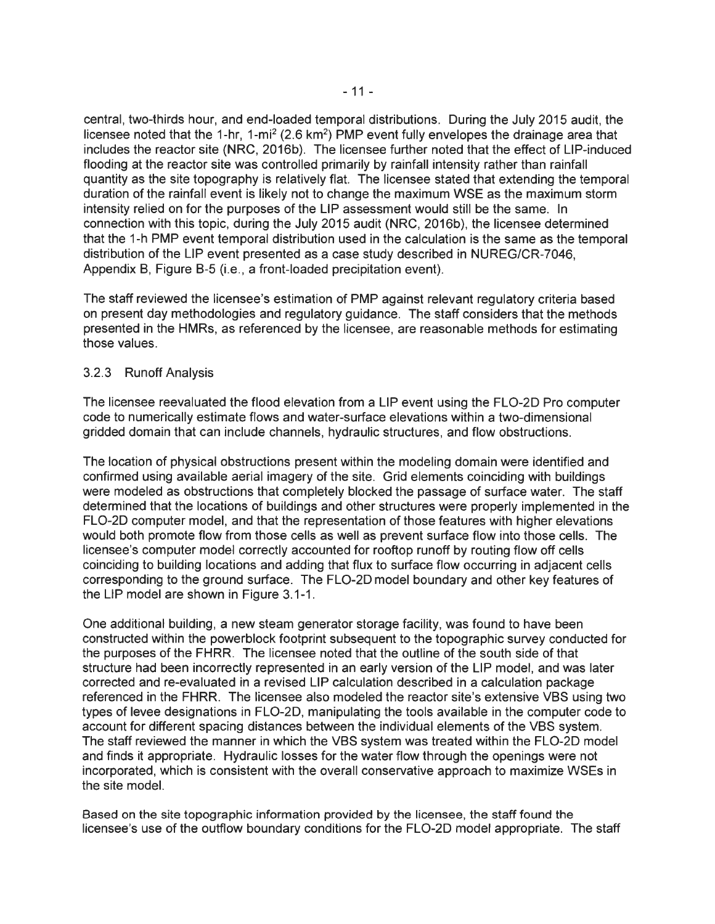central, two-thirds hour, and end-loaded temporal distributions. During the July 2015 audit, the licensee noted that the 1-hr, 1-mi<sup>2</sup> (2.6 km<sup>2</sup>) PMP event fully envelopes the drainage area that includes the reactor site (NRC, 2016b). The licensee further noted that the effect of LIP-induced flooding at the reactor site was controlled primarily by rainfall intensity rather than rainfall quantity as the site topography is relatively flat. The licensee stated that extending the temporal duration of the rainfall event is likely not to change the maximum WSE as the maximum storm intensity relied on for the purposes of the LIP assessment would still be the same. In connection with this topic, during the July 2015 audit (NRC, 2016b), the licensee determined that the 1-h PMP event temporal distribution used in the calculation is the same as the temporal distribution of the LIP event presented as a case study described in NUREG/CR-7046, Appendix B, Figure B-5 (i.e., a front-loaded precipitation event).

The staff reviewed the licensee's estimation of PMP against relevant regulatory criteria based on present day methodologies and regulatory guidance. The staff considers that the methods presented in the HMRs, as referenced by the licensee, are reasonable methods for estimating those values.

## 3.2.3 Runoff Analysis

The licensee reevaluated the flood elevation from a LIP event using the FL0-20 Pro computer code to numerically estimate flows and water-surface elevations within a two-dimensional gridded domain that can include channels, hydraulic structures, and flow obstructions.

The location of physical obstructions present within the modeling domain were identified and confirmed using available aerial imagery of the site. Grid elements coinciding with buildings were modeled as obstructions that completely blocked the passage of surface water. The staff determined that the locations of buildings and other structures were properly implemented in the FL0-20 computer model, and that the representation of those features with higher elevations would both promote flow from those cells as well as prevent surface flow into those cells. The licensee's computer model correctly accounted for rooftop runoff by routing flow off cells coinciding to building locations and adding that flux to surface flow occurring in adjacent cells corresponding to the ground surface. The FL0-20 model boundary and other key features of the LIP model are shown in Figure 3.1-1.

One additional building, a new steam generator storage facility, was found to have been constructed within the powerblock footprint subsequent to the topographic survey conducted for the purposes of the FHRR. The licensee noted that the outline of the south side of that structure had been incorrectly represented in an early version of the LIP model, and was later corrected and re-evaluated in a revised LIP calculation described in a calculation package referenced in the FHRR. The licensee also modeled the reactor site's extensive VBS using two types of levee designations in FL0-20, manipulating the tools available in the computer code to account for different spacing distances between the individual elements of the VBS system. The staff reviewed the manner in which the VBS system was treated within the FL0-20 model and finds it appropriate. Hydraulic losses for the water flow through the openings were not incorporated, which is consistent with the overall conservative approach to maximize WSEs in the site model.

Based on the site topographic information provided by the licensee, the staff found the licensee's use of the outflow boundary conditions for the FL0-20 model appropriate. The staff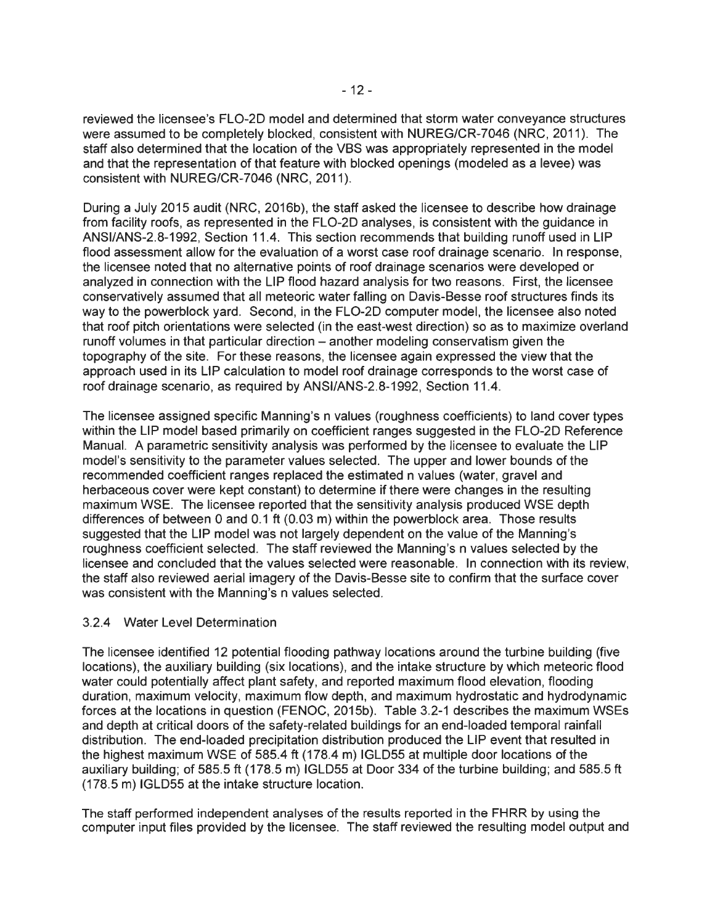reviewed the licensee's FLO-2D model and determined that storm water conveyance structures were assumed to be completely blocked, consistent with NUREG/CR-7046 (NRC, 2011). The staff also determined that the location of the VBS was appropriately represented in the model and that the representation of that feature with blocked openings (modeled as a levee) was consistent with NUREG/CR-7046 (NRC, 2011).

During a July 2015 audit (NRC, 2016b), the staff asked the licensee to describe how drainage from facility roofs, as represented in the FL0-2D analyses, is consistent with the guidance in ANSl/ANS-2.8-1992, Section 11.4. This section recommends that building runoff used in LIP flood assessment allow for the evaluation of a worst case roof drainage scenario. In response, the licensee noted that no alternative points of roof drainage scenarios were developed or analyzed in connection with the LIP flood hazard analysis for two reasons. First, the licensee conservatively assumed that all meteoric water falling on Davis-Besse roof structures finds its way to the powerblock yard. Second, in the FLO-2D computer model, the licensee also noted that roof pitch orientations were selected (in the east-west direction) so as to maximize overland runoff volumes in that particular direction – another modeling conservatism given the topography of the site. For these reasons, the licensee again expressed the view that the approach used in its LIP calculation to model roof drainage corresponds to the worst case of roof drainage scenario, as required by ANSl/ANS-2.8-1992, Section 11.4.

The licensee assigned specific Manning's n values (roughness coefficients) to land cover types within the LIP model based primarily on coefficient ranges suggested in the FL0-2D Reference Manual. A parametric sensitivity analysis was performed by the licensee to evaluate the LIP model's sensitivity to the parameter values selected. The upper and lower bounds of the recommended coefficient ranges replaced the estimated n values (water, gravel and herbaceous cover were kept constant) to determine if there were changes in the resulting maximum WSE. The licensee reported that the sensitivity analysis produced WSE depth differences of between 0 and 0.1 ft (0.03 m) within the powerblock area. Those results suggested that the LIP model was not largely dependent on the value of the Manning's roughness coefficient selected. The staff reviewed the Manning's n values selected by the licensee and concluded that the values selected were reasonable. In connection with its review, the staff also reviewed aerial imagery of the Davis-Besse site to confirm that the surface cover was consistent with the Manning's n values selected.

### 3.2.4 Water Level Determination

The licensee identified 12 potential flooding pathway locations around the turbine building (five locations), the auxiliary building (six locations), and the intake structure by which meteoric flood water could potentially affect plant safety, and reported maximum flood elevation, flooding duration, maximum velocity, maximum flow depth, and maximum hydrostatic and hydrodynamic forces at the locations in question (FENOC, 2015b). Table 3.2-1 describes the maximum WSEs and depth at critical doors of the safety-related buildings for an end-loaded temporal rainfall distribution. The end-loaded precipitation distribution produced the LIP event that resulted in the highest maximum WSE of 585.4 ft (178.4 m) IGLD55 at multiple door locations of the auxiliary building; of 585.5 ft (178.5 m) IGLD55 at Door 334 of the turbine building; and 585.5 ft (178.5 m) IGLD55 at the intake structure location.

The staff performed independent analyses of the results reported in the FHRR by using the computer input files provided by the licensee. The staff reviewed the resulting model output and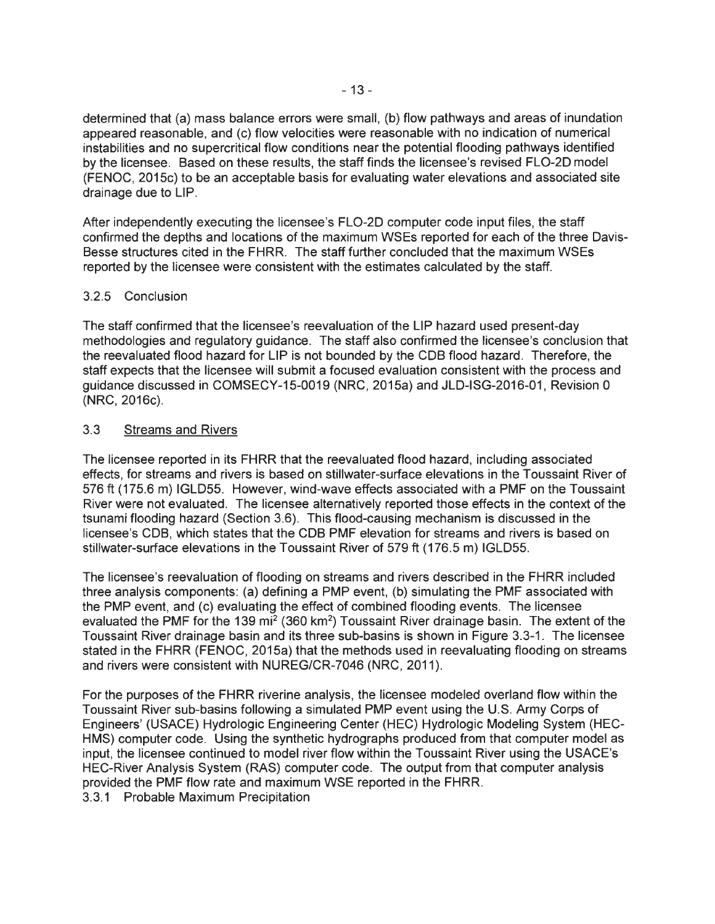determined that (a) mass balance errors were small, (b) flow pathways and areas of inundation appeared reasonable, and (c) flow velocities were reasonable with no indication of numerical instabilities and no supercritical flow conditions near the potential flooding pathways identified by the licensee. Based on these results, the staff finds the licensee's revised FL0-20 model (FENOC, 2015c) to be an acceptable basis for evaluating water elevations and associated site drainage due to LIP.

After independently executing the licensee's FLO-2D computer code input files, the staff confirmed the depths and locations of the maximum WSEs reported for each of the three Oavis-Besse structures cited in the FHRR. The staff further concluded that the maximum WSEs reported by the licensee were consistent with the estimates calculated by the staff.

## 3.2.5 Conclusion

The staff confirmed that the licensee's reevaluation of the LIP hazard used present-day methodologies and regulatory guidance. The staff also confirmed the licensee's conclusion that the reevaluated flood hazard for LIP is not bounded by the COB flood hazard. Therefore, the staff expects that the licensee will submit a focused evaluation consistent with the process and guidance discussed in COMSECY-15-0019 (NRC, 2015a) and JLO-ISG-2016-01 , Revision 0 (NRC, 2016c).

## 3.3 Streams and Rivers

The licensee reported in its FHRR that the reevaluated flood hazard, including associated effects, for streams and rivers is based on stillwater-surface elevations in the Toussaint River of 576 ft (175.6 m) IGLD55. However, wind-wave effects associated with a PMF on the Toussaint River were not evaluated. The licensee alternatively reported those effects in the context of the tsunami flooding hazard (Section 3.6). This flood-causing mechanism is discussed in the licensee's COB, which states that the COB PMF elevation for streams and rivers is based on stillwater-surface elevations in the Toussaint River of 579 ft (176.5 m) IGL055.

The licensee's reevaluation of flooding on streams and rivers described in the FHRR included three analysis components: (a) defining a PMP event, (b) simulating the PMF associated with the PMP event, and (c) evaluating the effect of combined flooding events. The licensee evaluated the PMF for the 139 mi<sup>2</sup> (360 km<sup>2</sup>) Toussaint River drainage basin. The extent of the Toussaint River drainage basin and its three sub-basins is shown in Figure 3.3-1. The licensee stated in the FHRR (FENOC, 2015a) that the methods used in reevaluating flooding on streams and rivers were consistent with NUREG/CR-7046 (NRC, 2011).

For the purposes of the FHRR riverine analysis, the licensee modeled overland flow within the Toussaint River sub-basins following a simulated PMP event using the U.S. Army Corps of Engineers' (USACE) Hydrologic Engineering Center (HEC) Hydrologic Modeling System (HEC-HMS) computer code. Using the synthetic hydrographs produced from that computer model as input, the licensee continued to model river flow within the Toussaint River using the USACE's HEC-River Analysis System (RAS) computer code. The output from that computer analysis provided the PMF flow rate and maximum WSE reported in the FHRR.

3.3.1 Probable Maximum Precipitation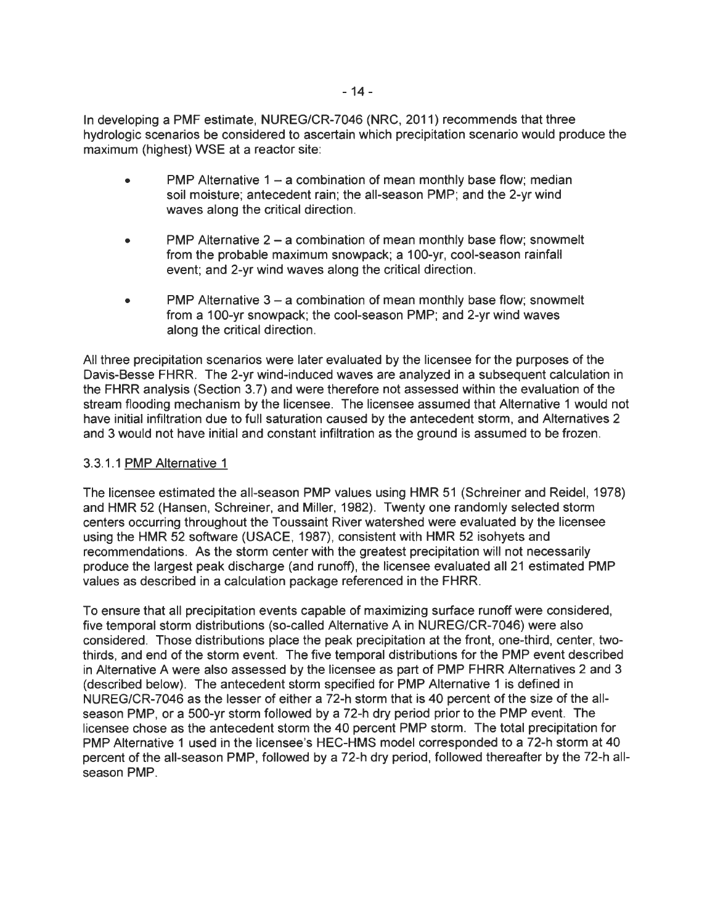In developing a PMF estimate, NUREG/CR-7046 (NRC, 2011) recommends that three hydrologic scenarios be considered to ascertain which precipitation scenario would produce the maximum (highest) WSE at a reactor site:

- PMP Alternative  $1 a$  combination of mean monthly base flow; median soil moisture; antecedent rain; the all-season PMP; and the 2-yr wind waves along the critical direction.
- **PMP** Alternative  $2 a$  combination of mean monthly base flow; snowmelt from the probable maximum snowpack; a 100-yr, cool-season rainfall event; and 2-yr wind waves along the critical direction.
- PMP Alternative  $3 a$  combination of mean monthly base flow; snowmelt from a 100-yr snowpack; the cool-season PMP; and 2-yr wind waves along the critical direction.

All three precipitation scenarios were later evaluated by the licensee for the purposes of the Davis-Besse FHRR. The 2-yr wind-induced waves are analyzed in a subsequent calculation in the FHRR analysis (Section 3.7) and were therefore not assessed within the evaluation of the stream flooding mechanism by the licensee. The licensee assumed that Alternative 1 would not have initial infiltration due to full saturation caused by the antecedent storm, and Alternatives 2 and 3 would not have initial and constant infiltration as the ground is assumed to be frozen.

## 3.3.1.1 PMP Alternative 1

The licensee estimated the all-season PMP values using HMR 51 (Schreiner and Reidel, 1978) and HMR 52 (Hansen, Schreiner, and Miller, 1982). Twenty one randomly selected storm centers occurring throughout the Toussaint River watershed were evaluated by the licensee using the HMR 52 software (USAGE, 1987), consistent with HMR 52 isohyets and recommendations. As the storm center with the greatest precipitation will not necessarily produce the largest peak discharge (and runoff), the licensee evaluated all 21 estimated PMP values as described in a calculation package referenced in the FHRR.

To ensure that all precipitation events capable of maximizing surface runoff were considered, five temporal storm distributions (so-called Alternative A in NUREG/CR-7046) were also considered. Those distributions place the peak precipitation at the front, one-third, center, twothirds, and end of the storm event. The five temporal distributions for the PMP event described in Alternative A were also assessed by the licensee as part of PMP FHRR Alternatives 2 and 3 (described below). The antecedent storm specified for PMP Alternative 1 is defined in NUREG/CR-7046 as the lesser of either a 72-h storm that is 40 percent of the size of the allseason PMP, or a 500-yr storm followed by a 72-h dry period prior to the PMP event. The licensee chose as the antecedent storm the 40 percent PMP storm. The total precipitation for PMP Alternative 1 used in the licensee's HEC-HMS model corresponded to a 72-h storm at 40 percent of the all-season PMP, followed by a 72-h dry period, followed thereafter by the 72-h allseason PMP.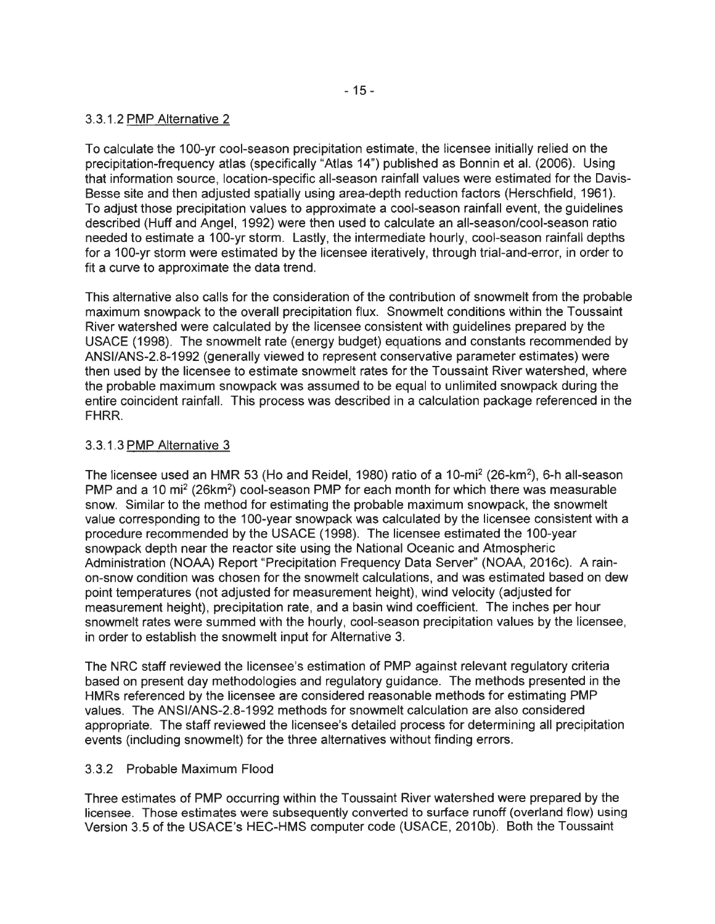## 3.3.1.2 PMP Alternative 2

To calculate the 100-yr cool-season precipitation estimate, the licensee initially relied on the precipitation-frequency atlas (specifically "Atlas 14") published as Bonnin et al. (2006). Using that information source, location-specific all-season rainfall values were estimated for the Davis-Besse site and then adjusted spatially using area-depth reduction factors (Herschfield, 1961). To adjust those precipitation values to approximate a cool-season rainfall event, the guidelines described (Huff and Angel, 1992) were then used to calculate an all-season/cool-season ratio needed to estimate a 100-yr storm. Lastly, the intermediate hourly, cool-season rainfall depths for a 100-yr storm were estimated by the licensee iteratively, through trial-and-error, in order to fit a curve to approximate the data trend.

This alternative also calls for the consideration of the contribution of snowmelt from the probable maximum snowpack to the overall precipitation flux. Snowmelt conditions within the Toussaint River watershed were calculated by the licensee consistent with guidelines prepared by the USAGE (1998). The snowmelt rate (energy budget) equations and constants recommended by ANSl/ANS-2.8-1992 (generally viewed to represent conservative parameter estimates) were then used by the licensee to estimate snowmelt rates for the Toussaint River watershed, where the probable maximum snowpack was assumed to be equal to unlimited snowpack during the entire coincident rainfall. This process was described in a calculation package referenced in the FHRR.

## 3.3.1.3 PMP Alternative 3

The licensee used an HMR 53 (Ho and Reidel, 1980) ratio of a 10-mi<sup>2</sup> (26-km<sup>2</sup>), 6-h all-season PMP and a 10 mi<sup>2</sup> (26km<sup>2</sup>) cool-season PMP for each month for which there was measurable snow. Similar to the method for estimating the probable maximum snowpack, the snowmelt value corresponding to the 100-year snowpack was calculated by the licensee consistent with a procedure recommended by the USAGE (1998). The licensee estimated the 100-year snowpack depth near the reactor site using the National Oceanic and Atmospheric Administration (NOAA) Report "Precipitation Frequency Data Server" (NOAA, 2016c). A rainon-snow condition was chosen for the snowmelt calculations, and was estimated based on dew point temperatures (not adjusted for measurement height), wind velocity (adjusted for measurement height), precipitation rate, and a basin wind coefficient. The inches per hour snowmelt rates were summed with the hourly, cool-season precipitation values by the licensee, in order to establish the snowmelt input for Alternative 3.

The NRG staff reviewed the licensee's estimation of PMP against relevant regulatory criteria based on present day methodologies and regulatory guidance. The methods presented in the HMRs referenced by the licensee are considered reasonable methods for estimating PMP values. The ANSl/ANS-2.8-1992 methods for snowmelt calculation are also considered appropriate. The staff reviewed the licensee's detailed process for determining all precipitation events (including snowmelt) for the three alternatives without finding errors.

### 3.3.2 Probable Maximum Flood

Three estimates of PMP occurring within the Toussaint River watershed were prepared by the licensee. Those estimates were subsequently converted to surface runoff (overland flow) using Version 3.5 of the USACE's HEC-HMS computer code (USACE, 2010b). Both the Toussaint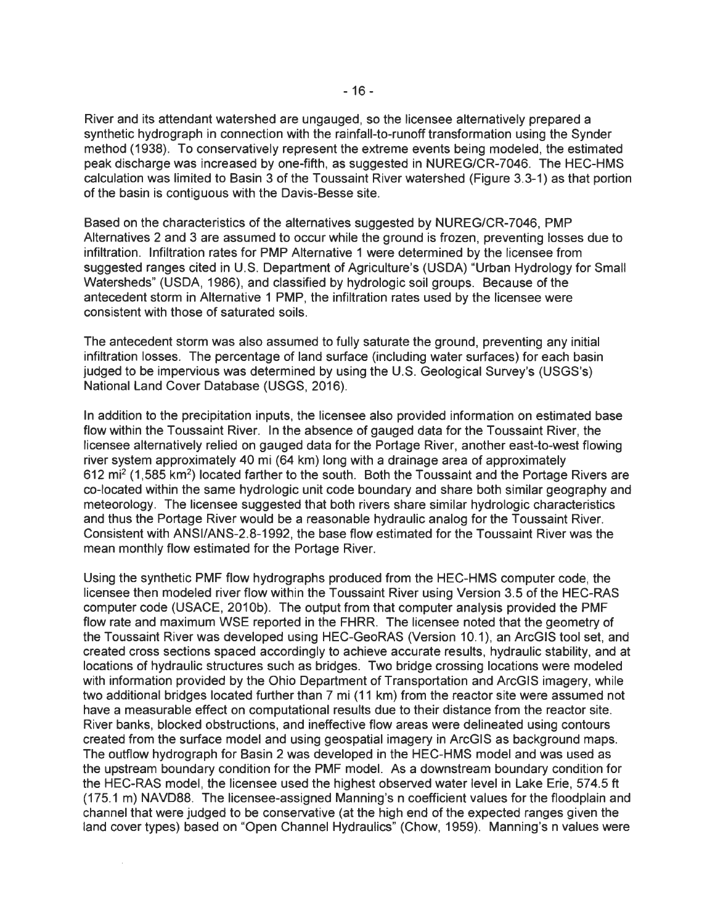River and its attendant watershed are ungauged, so the licensee alternatively prepared a synthetic hydrograph in connection with the rainfall-to-runoff transformation using the Synder method (1938). To conservatively represent the extreme events being modeled, the estimated peak discharge was increased by one-fifth, as suggested in NUREG/CR-7046. The HEC-HMS calculation was limited to Basin 3 of the Toussaint River watershed (Figure 3.3-1) as that portion of the basin is contiguous with the Davis-Besse site.

Based on the characteristics of the alternatives suggested by NUREG/CR-7046, PMP Alternatives 2 and 3 are assumed to occur while the ground is frozen, preventing losses due to infiltration. Infiltration rates for PMP Alternative 1 were determined by the licensee from suggested ranges cited in U.S. Department of Agriculture's (USDA) "Urban Hydrology for Small Watersheds" (USDA, 1986), and classified by hydrologic soil groups. Because of the antecedent storm in Alternative 1 PMP, the infiltration rates used by the licensee were consistent with those of saturated soils.

The antecedent storm was also assumed to fully saturate the ground, preventing any initial infiltration losses. The percentage of land surface (including water surfaces) for each basin judged to be impervious was determined by using the U.S. Geological Survey's (USGS's) National Land Cover Database (USGS, 2016).

In addition to the precipitation inputs, the licensee also provided information on estimated base flow within the Toussaint River. In the absence of gauged data for the Toussaint River, the licensee alternatively relied on gauged data for the Portage River, another east-to-west flowing river system approximately 40 mi (64 km) long with a drainage area of approximately 612 mi<sup>2</sup> (1,585 km<sup>2</sup>) located farther to the south. Both the Toussaint and the Portage Rivers are co-located within the same hydrologic unit code boundary and share both similar geography and meteorology. The licensee suggested that both rivers share similar hydrologic characteristics and thus the Portage River would be a reasonable hydraulic analog for the Toussaint River. Consistent with ANSl/ANS-2.8-1992, the base flow estimated for the Toussaint River was the mean monthly flow estimated for the Portage River.

Using the synthetic PMF flow hydrographs produced from the HEC-HMS computer code, the licensee then modeled river flow within the Toussaint River using Version 3.5 of the HEC-RAS computer code (USAGE, 2010b). The output from that computer analysis provided the PMF flow rate and maximum WSE reported in the FHRR. The licensee noted that the geometry of the Toussaint River was developed using HEC-GeoRAS (Version 10.1 ), an ArcGIS tool set, and created cross sections spaced accordingly to achieve accurate results, hydraulic stability, and at locations of hydraulic structures such as bridges. Two bridge crossing locations were modeled with information provided by the Ohio Department of Transportation and ArcGIS imagery, while two additional bridges located further than 7 mi (11 km) from the reactor site were assumed not have a measurable effect on computational results due to their distance from the reactor site. River banks, blocked obstructions, and ineffective flow areas were delineated using contours created from the surface model and using geospatial imagery in ArcGIS as background maps. The outflow hydrograph for Basin 2 was developed in the HEC-HMS model and was used as the upstream boundary condition for the PMF model. As a downstream boundary condition for the HEC-RAS model, the licensee used the highest observed water level in Lake Erie, 574.5 ft (175.1 m) NAVD88. The licensee-assigned Manning's n coefficient values for the floodplain and channel that were judged to be conservative (at the high end of the expected ranges given the land cover types) based on "Open Channel Hydraulics" (Chow, 1959). Manning's n values were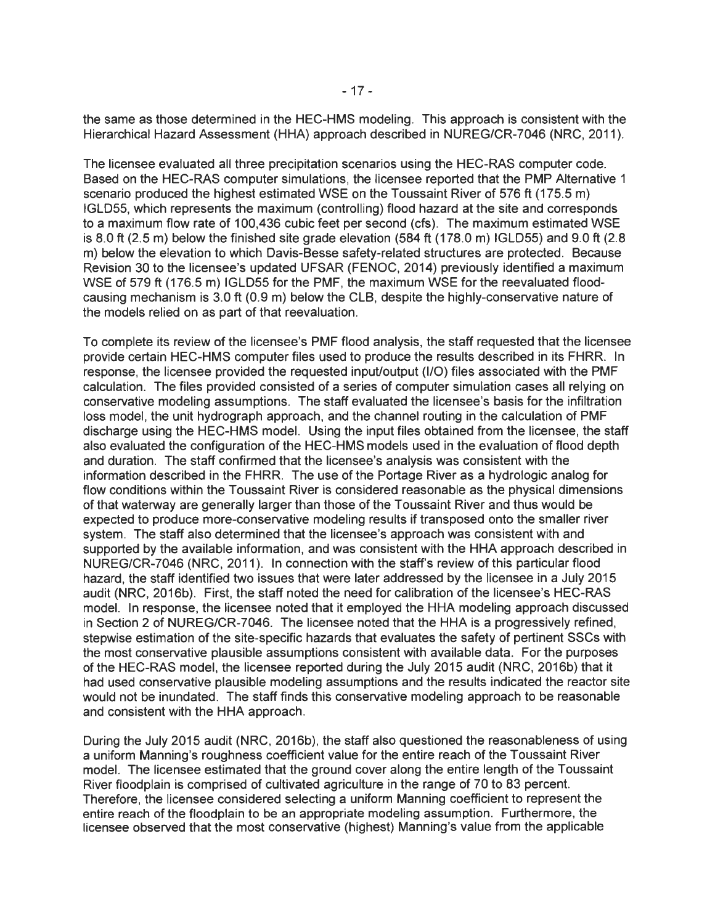the same as those determined in the HEC-HMS modeling. This approach is consistent with the Hierarchical Hazard Assessment (HHA) approach described in NUREG/CR-7046 (NRC, 2011 ).

The licensee evaluated all three precipitation scenarios using the HEC-RAS computer code. Based on the HEC-RAS computer simulations, the licensee reported that the PMP Alternative 1 scenario produced the highest estimated WSE on the Toussaint River of 576 ft (175.5 m) IGLD55, which represents the maximum (controlling) flood hazard at the site and corresponds to a maximum flow rate of 100,436 cubic feet per second (cfs). The maximum estimated WSE is 8.0 ft (2.5 m) below the finished site grade elevation (584 ft (178.0 m) IGLD55) and 9.0 ft (2.8 m) below the elevation to which Davis-Besse safety-related structures are protected. Because Revision 30 to the licensee's updated UFSAR (FENOC, 2014) previously identified a maximum WSE of 579 ft (176.5 m) IGLD55 for the PMF, the maximum WSE for the reevaluated floodcausing mechanism is 3.0 ft (0.9 m) below the CLB, despite the highly-conservative nature of the models relied on as part of that reevaluation.

To complete its review of the licensee's PMF flood analysis, the staff requested that the licensee provide certain HEC-HMS computer files used to produce the results described in its FHRR. In response, the licensee provided the requested input/output (1/0) files associated with the PMF calculation. The files provided consisted of a series of computer simulation cases all relying on conservative modeling assumptions. The staff evaluated the licensee's basis for the infiltration loss model, the unit hydrograph approach, and the channel routing in the calculation of PMF discharge using the HEC-HMS model. Using the input files obtained from the licensee, the staff also evaluated the configuration of the HEC-HMS models used in the evaluation of flood depth and duration. The staff confirmed that the licensee's analysis was consistent with the information described in the FHRR. The use of the Portage River as a hydrologic analog for flow conditions within the Toussaint River is considered reasonable as the physical dimensions of that waterway are generally larger than those of the Toussaint River and thus would be expected to produce more-conservative modeling results if transposed onto the smaller river system. The staff also determined that the licensee's approach was consistent with and supported by the available information, and was consistent with the HHA approach described in NUREG/CR-7046 (NRC, 2011). In connection with the staff's review of this particular flood hazard, the staff identified two issues that were later addressed by the licensee in a July 2015 audit (NRC, 2016b). First, the staff noted the need for calibration of the licensee's HEC-RAS model. In response, the licensee noted that it employed the HHA modeling approach discussed in Section 2 of NUREG/CR-7046. The licensee noted that the HHA is a progressively refined, stepwise estimation of the site-specific hazards that evaluates the safety of pertinent SSCs with the most conservative plausible assumptions consistent with available data. For the purposes of the HEC-RAS model, the licensee reported during the July 2015 audit (NRC, 2016b) that it had used conservative plausible modeling assumptions and the results indicated the reactor site would not be inundated. The staff finds this conservative modeling approach to be reasonable and consistent with the HHA approach.

During the July 2015 audit (NRC, 2016b), the staff also questioned the reasonableness of using a uniform Manning's roughness coefficient value for the entire reach of the Toussaint River model. The licensee estimated that the ground cover along the entire length of the Toussaint River floodplain is comprised of cultivated agriculture in the range of 70 to 83 percent. Therefore, the licensee considered selecting a uniform Manning coefficient to represent the entire reach of the floodplain to be an appropriate modeling assumption. Furthermore, the licensee observed that the most conservative (highest) Manning's value from the applicable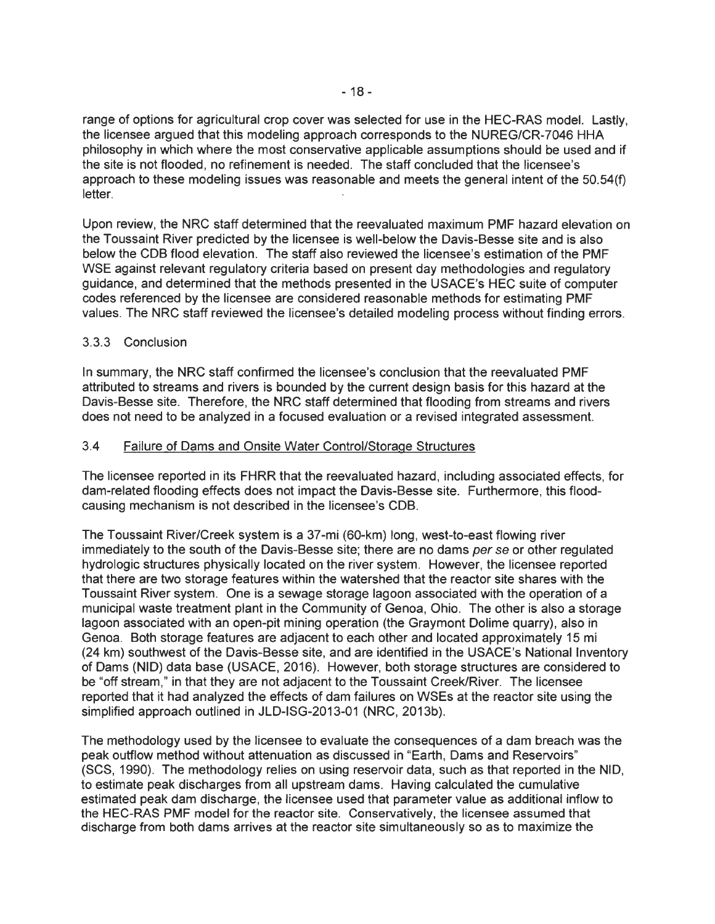range of options for agricultural crop cover was selected for use in the HEC-RAS model. Lastly, the licensee argued that this modeling approach corresponds to the NUREG/CR-7046 HHA philosophy in which where the most conservative applicable assumptions should be used and if the site is not flooded, no refinement is needed. The staff concluded that the licensee's approach to these modeling issues was reasonable and meets the general intent of the 50.54(f) letter.

Upon review, the NRC staff determined that the reevaluated maximum PMF hazard elevation on the Toussaint River predicted by the licensee is well-below the Davis-Besse site and is also below the COB flood elevation. The staff also reviewed the licensee's estimation of the PMF WSE against relevant regulatory criteria based on present day methodologies and regulatory guidance, and determined that the methods presented in the USACE's HEC suite of computer codes referenced by the licensee are considered reasonable methods for estimating PMF values. The NRC staff reviewed the licensee's detailed modeling process without finding errors.

### 3.3.3 Conclusion

In summary, the NRC staff confirmed the licensee's conclusion that the reevaluated PMF attributed to streams and rivers is bounded by the current design basis for this hazard at the Davis-Besse site. Therefore, the NRC staff determined that flooding from streams and rivers does not need to be analyzed in a focused evaluation or a revised integrated assessment.

### 3.4 Failure of Dams and Onsite Water Control/Storage Structures

The licensee reported in its FHRR that the reevaluated hazard, including associated effects, for dam-related flooding effects does not impact the Davis-Besse site. Furthermore, this floodcausing mechanism is not described in the licensee's COB.

The Toussaint River/Creek system is a 37-mi (60-km) long, west-to-east flowing river immediately to the south of the Davis-Besse site; there are no dams per se or other regulated hydrologic structures physically located on the river system. However, the licensee reported that there are two storage features within the watershed that the reactor site shares with the Toussaint River system. One is a sewage storage lagoon associated with the operation of a municipal waste treatment plant in the Community of Genoa, Ohio. The other is also a storage lagoon associated with an open-pit mining operation (the Graymont Dolime quarry), also in Genoa. Both storage features are adjacent to each other and located approximately 15 mi (24 km) southwest of the Davis-Besse site, and are identified in the USACE's National Inventory of Dams (NID) data base (USAGE, 2016). However, both storage structures are considered to be "off stream," in that they are not adjacent to the Toussaint Creek/River. The licensee reported that it had analyzed the effects of dam failures on WSEs at the reactor site using the simplified approach outlined in JLD-ISG-2013-01 (NRC, 2013b).

The methodology used by the licensee to evaluate the consequences of a dam breach was the peak outflow method without attenuation as discussed in "Earth, Dams and Reservoirs" (SCS, 1990). The methodology relies on using reservoir data, such as that reported in the NID, to estimate peak discharges from all upstream dams. Having calculated the cumulative estimated peak dam discharge, the licensee used that parameter value as additional inflow to the HEC-RAS PMF model for the reactor site. Conservatively, the licensee assumed that discharge from both dams arrives at the reactor site simultaneously so as to maximize the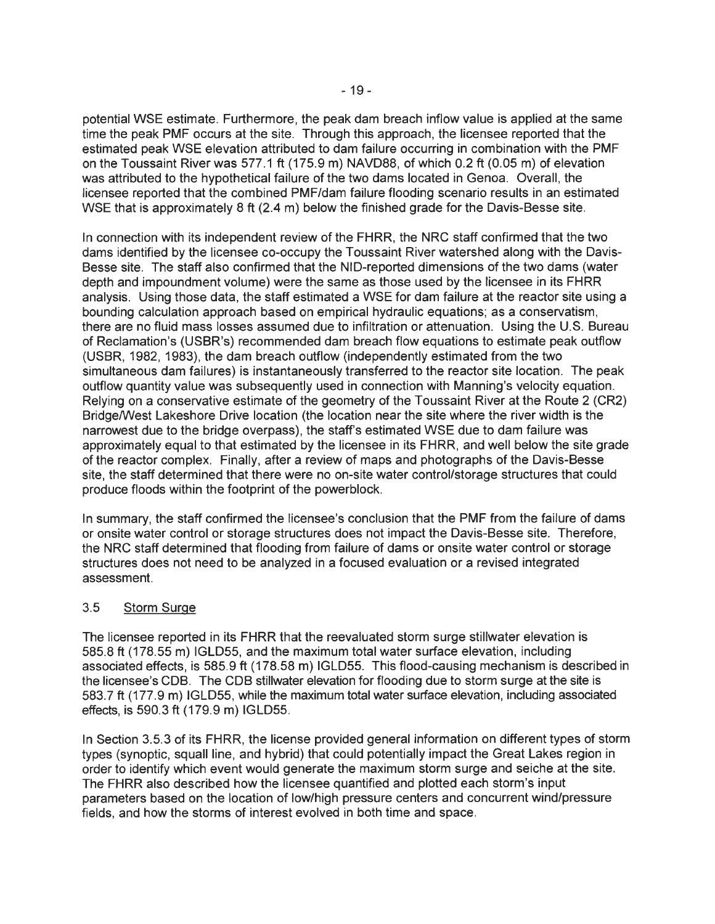potential WSE estimate. Furthermore, the peak dam breach inflow value is applied at the same time the peak PMF occurs at the site. Through this approach, the licensee reported that the estimated peak WSE elevation attributed to dam failure occurring in combination with the PMF on the Toussaint River was 577.1 ft (175.9 m) NAVD88, of which 0.2 ft (0.05 m) of elevation was attributed to the hypothetical failure of the two dams located in Genoa. Overall, the licensee reported that the combined PMF/dam failure flooding scenario results in an estimated WSE that is approximately 8 ft (2.4 m) below the finished grade for the Davis-Besse site.

In connection with its independent review of the FHRR, the NRC staff confirmed that the two dams identified by the licensee co-occupy the Toussaint River watershed along with the Davis-Besse site. The staff also confirmed that the NID-reported dimensions of the two dams (water depth and impoundment volume) were the same as those used by the licensee in its FHRR analysis. Using those data, the staff estimated a WSE for dam failure at the reactor site using a bounding calculation approach based on empirical hydraulic equations; as a conservatism, there are no fluid mass losses assumed due to infiltration or attenuation. Using the U.S. Bureau of Reclamation's (USBR's) recommended dam breach flow equations to estimate peak outflow (USBR, 1982, 1983), the dam breach outflow (independently estimated from the two simultaneous dam failures) is instantaneously transferred to the reactor site location. The peak outflow quantity value was subsequently used in connection with Manning's velocity equation. Relying on a conservative estimate of the geometry of the Toussaint River at the Route 2 (CR2) Bridge/West Lakeshore Drive location (the location near the site where the river width is the narrowest due to the bridge overpass), the staff's estimated WSE due to dam failure was approximately equal to that estimated by the licensee in its FHRR, and well below the site grade of the reactor complex. Finally, after a review of maps and photographs of the Davis-Besse site, the staff determined that there were no on-site water control/storage structures that could produce floods within the footprint of the powerblock.

In summary, the staff confirmed the licensee's conclusion that the PMF from the failure of dams or onsite water control or storage structures does not impact the Davis-Besse site. Therefore, the NRC staff determined that flooding from failure of dams or onsite water control or storage structures does not need to be analyzed in a focused evaluation or a revised integrated assessment.

### 3.5 Storm Surge

The licensee reported in its FHRR that the reevaluated storm surge stillwater elevation is 585.8 ft (178.55 m) IGLD55, and the maximum total water surface elevation, including associated effects, is 585.9 ft (178.58 m) IGLD55. This flood-causing mechanism is described in the licensee's COB. The COB stillwater elevation for flooding due to storm surge at the site is 583.7 ft (177.9 m) IGLD55, while the maximum total water surface elevation, including associated effects, is 590.3 ft (179.9 m) IGLD55.

In Section 3.5.3 of its FHRR, the license provided general information on different types of storm types (synoptic, squall line, and hybrid) that could potentially impact the Great Lakes region in order to identify which event would generate the maximum storm surge and seiche at the site. The FHRR also described how the licensee quantified and plotted each storm's input parameters based on the location of low/high pressure centers and concurrent wind/pressure fields, and how the storms of interest evolved in both time and space.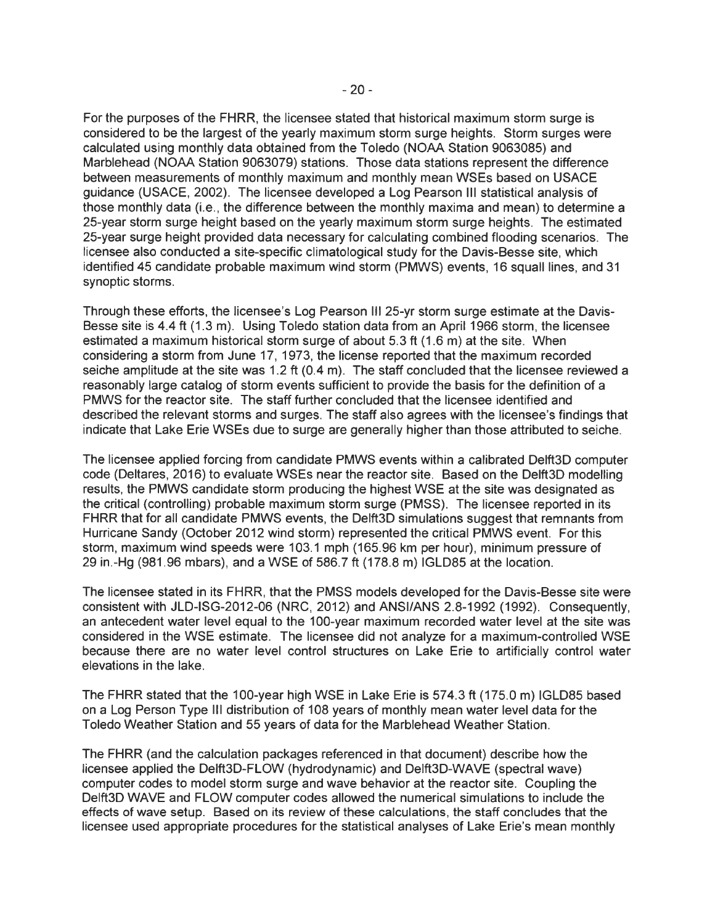For the purposes of the FHRR, the licensee stated that historical maximum storm surge is considered to be the largest of the yearly maximum storm surge heights. Storm surges were calculated using monthly data obtained from the Toledo (NOAA Station 9063085) and Marblehead (NOAA Station 9063079) stations. Those data stations represent the difference between measurements of monthly maximum and monthly mean WSEs based on USACE guidance (USACE, 2002). The licensee developed a Log Pearson Ill statistical analysis of those monthly data (i.e., the difference between the monthly maxima and mean) to determine a 25-year storm surge height based on the yearly maximum storm surge heights. The estimated 25-year surge height provided data necessary for calculating combined flooding scenarios. The licensee also conducted a site-specific climatological study for the Davis-Besse site, which identified 45 candidate probable maximum wind storm (PMWS) events, 16 squall lines, and 31 synoptic storms.

Through these efforts, the licensee's Log Pearson Ill 25-yr storm surge estimate at the Davis-Besse site is 4.4 ft (1.3 m). Using Toledo station data from an April 1966 storm, the licensee estimated a maximum historical storm surge of about 5.3 ft (1 .6 m) at the site. When considering a storm from June 17, 1973, the license reported that the maximum recorded seiche amplitude at the site was 1.2 ft (0.4 m). The staff concluded that the licensee reviewed a reasonably large catalog of storm events sufficient to provide the basis for the definition of a PMWS for the reactor site. The staff further concluded that the licensee identified and described the relevant storms and surges. The staff also agrees with the licensee's findings that indicate that Lake Erie WSEs due to surge are generally higher than those attributed to seiche.

The licensee applied forcing from candidate PMWS events within a calibrated Delft3D computer code (Deltares, 2016) to evaluate WSEs near the reactor site. Based on the Delft3D modelling results, the PMWS candidate storm producing the highest WSE at the site was designated as the critical (controlling) probable maximum storm surge (PMSS). The licensee reported in its FHRR that for all candidate PMWS events, the Delft3D simulations suggest that remnants from Hurricane Sandy (October 2012 wind storm) represented the critical PMWS event. For this storm, maximum wind speeds were 103.1 mph (165.96 km per hour), minimum pressure of 29 in.-Hg (981.96 mbars), and a WSE of 586.7 ft (178.8 m) IGLD85 at the location.

The licensee stated in its FHRR, that the PMSS models developed for the Davis-Besse site were consistent with JLD-ISG-2012-06 (NRC, 2012) and ANSI/ANS 2.8-1992 (1992). Consequently, an antecedent water level equal to the 100-year maximum recorded water level at the site was considered in the WSE estimate. The licensee did not analyze for a maximum-controlled WSE because there are no water level control structures on Lake Erie to artificially control water elevations in the lake.

The FHRR stated that the 100-year high WSE in Lake Erie is 574.3 ft (175.0 m) IGLD85 based on a Log Person Type Ill distribution of 108 years of monthly mean water level data for the Toledo Weather Station and 55 years of data for the Marblehead Weather Station.

The FHRR (and the calculation packages referenced in that document) describe how the licensee applied the Delft3D-FLOW (hydrodynamic) and Delft3D-WAVE (spectral wave) computer codes to model storm surge and wave behavior at the reactor site. Coupling the Delft3D WAVE and FLOW computer codes allowed the numerical simulations to include the effects of wave setup. Based on its review of these calculations, the staff concludes that the licensee used appropriate procedures for the statistical analyses of Lake Erie's mean monthly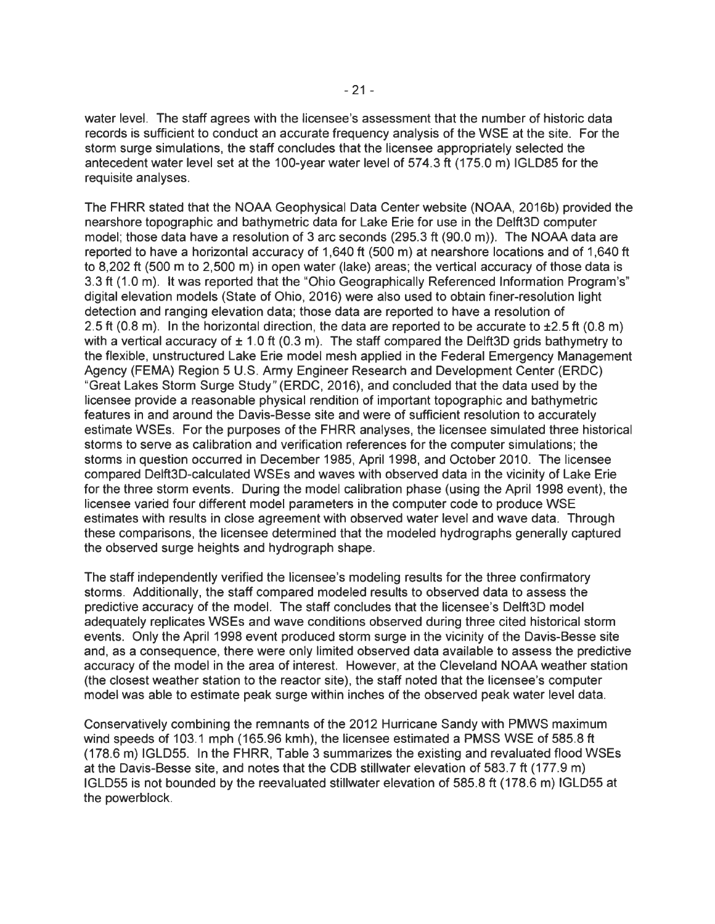water level. The staff agrees with the licensee's assessment that the number of historic data records is sufficient to conduct an accurate frequency analysis of the WSE at the site. For the storm surge simulations, the staff concludes that the licensee appropriately selected the antecedent water level set at the 100-year water level of S74.3 ft (17S.O m) IGLD8S for the requisite analyses.

The FHRR stated that the NOAA Geophysical Data Center website (NOAA, 2016b) provided the nearshore topographic and bathymetric data for Lake Erie for use in the Delft3D computer model; those data have a resolution of 3 arc seconds (29S.3 ft (90.0 m)). The NOAA data are reported to have a horizontal accuracy of 1,640 ft (SOO m) at nearshore locations and of 1,640 ft to 8,202 ft (SOO m to 2,SOO m) in open water (lake) areas; the vertical accuracy of those data is 3.3 ft (1 .0 m). It was reported that the "Ohio Geographically Referenced Information Program's" digital elevation models (State of Ohio, 2016) were also used to obtain finer-resolution light detection and ranging elevation data; those data are reported to have a resolution of 2.5 ft (0.8 m). In the horizontal direction, the data are reported to be accurate to  $\pm$ 2.5 ft (0.8 m) with a vertical accuracy of  $\pm 1.0$  ft (0.3 m). The staff compared the Delft3D grids bathymetry to the flexible, unstructured Lake Erie model mesh applied in the Federal Emergency Management Agency (FEMA) Region S U.S. Army Engineer Research and Development Center (ERDC) "Great Lakes Storm Surge Study" (ERDC, 2016), and concluded that the data used by the licensee provide a reasonable physical rendition of important topographic and bathymetric features in and around the Davis-Besse site and were of sufficient resolution to accurately estimate WSEs. For the purposes of the FHRR analyses, the licensee simulated three historical storms to serve as calibration and verification references for the computer simulations; the storms in question occurred in December 198S, April 1998, and October 2010. The licensee compared Delft3D-calculated WSEs and waves with observed data in the vicinity of Lake Erie for the three storm events. During the model calibration phase (using the April 1998 event), the licensee varied four different model parameters in the computer code to produce WSE estimates with results in close agreement with observed water level and wave data. Through these comparisons, the licensee determined that the modeled hydrographs generally captured the observed surge heights and hydrograph shape.

The staff independently verified the licensee's modeling results for the three confirmatory storms. Additionally, the staff compared modeled results to observed data to assess the predictive accuracy of the model. The staff concludes that the licensee's Delft3D model adequately replicates WSEs and wave conditions observed during three cited historical storm events. Only the April 1998 event produced storm surge in the vicinity of the Davis-Besse site and, as a consequence, there were only limited observed data available to assess the predictive accuracy of the model in the area of interest. However, at the Cleveland NOAA weather station (the closest weather station to the reactor site), the staff noted that the licensee's computer model was able to estimate peak surge within inches of the observed peak water level data.

Conservatively combining the remnants of the 2012 Hurricane Sandy with PMWS maximum wind speeds of 103.1 mph (16S.96 kmh), the licensee estimated a PMSS WSE of S8S.8 ft (178.6 m) IGLDSS. In the FHRR, Table 3 summarizes the existing and revaluated flood WSEs at the Davis-Besse site, and notes that the COB stillwater elevation of S83.7 ft (177.9 m) !GLOSS is not bounded by the reevaluated stillwater elevation of S8S.8 ft (178.6 m) IGLDSS at the powerblock.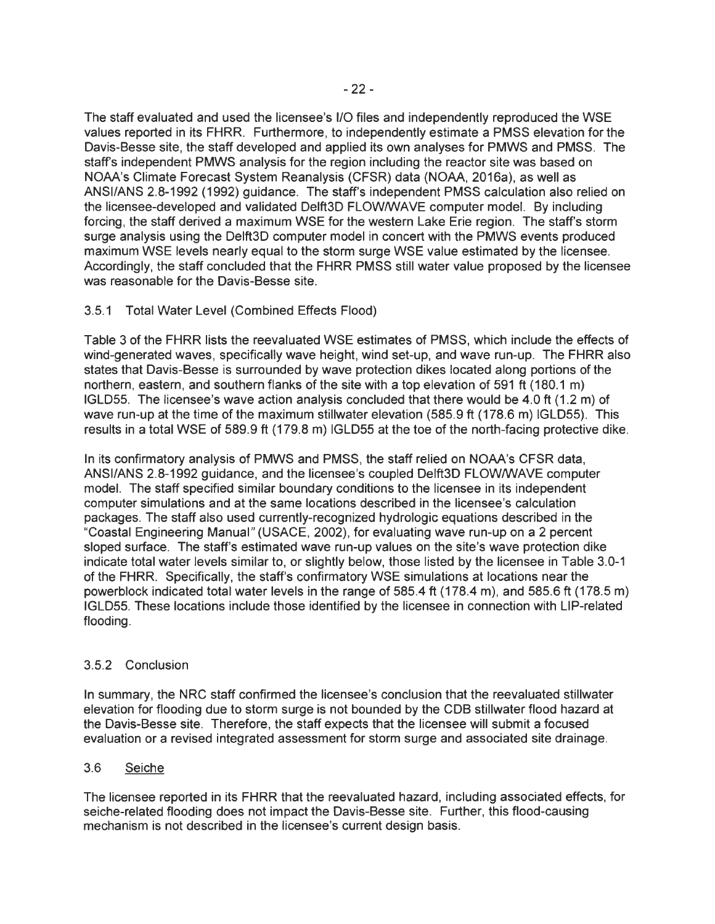The staff evaluated and used the licensee's 1/0 files and independently reproduced the WSE values reported in its FHRR. Furthermore, to independently estimate a PMSS elevation for the Davis-Besse site, the staff developed and applied its own analyses for PMWS and PMSS. The staff's independent PMWS analysis for the region including the reactor site was based on NOAA's Climate Forecast System Reanalysis (CFSR) data (NOAA, 2016a), as well as ANSI/ANS 2.8-1992 (1992) guidance. The staff's independent PMSS calculation also relied on the licensee-developed and validated Delft3D FLOW/WAVE computer model. By including forcing , the staff derived a maximum WSE for the western Lake Erie region. The staff's storm surge analysis using the Delft3D computer model in concert with the PMWS events produced maximum WSE levels nearly equal to the storm surge WSE value estimated by the licensee. Accordingly, the staff concluded that the FHRR PMSS still water value proposed by the licensee was reasonable for the Davis-Besse site.

# 3.5.1 Total Water Level (Combined Effects Flood)

Table 3 of the FHRR lists the reevaluated WSE estimates of PMSS, which include the effects of wind-generated waves, specifically wave height, wind set-up, and wave run-up. The FHRR also states that Davis-Besse is surrounded by wave protection dikes located along portions of the northern, eastern, and southern flanks of the site with a top elevation of 591 ft (180.1 m) IGLD55. The licensee's wave action analysis concluded that there would be 4.0 ft (1 .2 m) of wave run-up at the time of the maximum stillwater elevation (585.9 ft (178.6 m) IGLD55). This results in a total WSE of 589.9 ft (179.8 m) IGLD55 at the toe of the north-facing protective dike.

In its confirmatory analysis of PMWS and PMSS, the staff relied on NOAA's CFSR data, ANSI/ANS 2.8-1992 guidance, and the licensee's coupled Delft3D FLOW/WAVE computer model. The staff specified similar boundary conditions to the licensee in its independent computer simulations and at the same locations described in the licensee's calculation packages. The staff also used currently-recognized hydrologic equations described in the "Coastal Engineering Manual" (USAGE, 2002), for evaluating wave run-up on a 2 percent sloped surface. The staff's estimated wave run-up values on the site's wave protection dike indicate total water levels similar to, or slightly below, those listed by the licensee in Table 3.0-1 of the FHRR. Specifically, the staff's confirmatory WSE simulations at locations near the powerblock indicated total water levels in the range of 585.4 ft (178.4 m), and 585.6 ft (178.5 m) IGLD55. These locations include those identified by the licensee in connection with LIP-related flooding.

# 3.5.2 Conclusion

In summary, the NRC staff confirmed the licensee's conclusion that the reevaluated stillwater elevation for flooding due to storm surge is not bounded by the COB stillwater flood hazard at the Davis-Besse site. Therefore, the staff expects that the licensee will submit a focused evaluation or a revised integrated assessment for storm surge and associated site drainage.

# 3.6 Seiche

The licensee reported in its FHRR that the reevaluated hazard, including associated effects, for seiche-related flooding does not impact the Davis-Besse site. Further, this flood-causing mechanism is not described in the licensee's current design basis.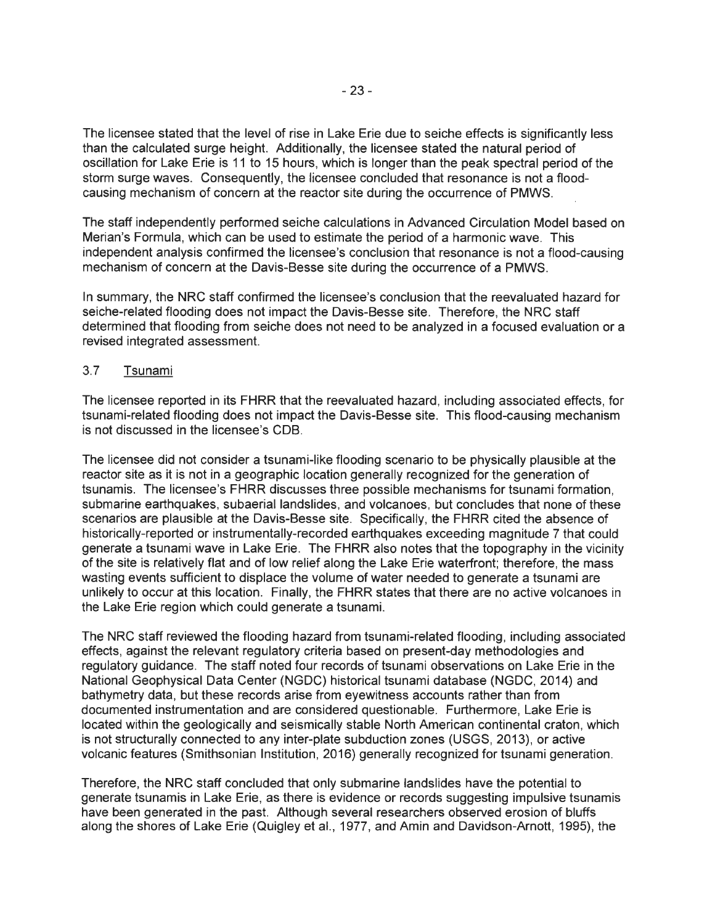The licensee stated that the level of rise in Lake Erie due to seiche effects is significantly less than the calculated surge height. Additionally, the licensee stated the natural period of oscillation for Lake Erie is 11 to 15 hours, which is longer than the peak spectral period of the storm surge waves. Consequently, the licensee concluded that resonance is not a floodcausing mechanism of concern at the reactor site during the occurrence of PMWS.

The staff independently performed seiche calculations in Advanced Circulation Model based on Merian's Formula, which can be used to estimate the period of a harmonic wave. This independent analysis confirmed the licensee's conclusion that resonance is not a flood-causing mechanism of concern at the Davis-Besse site during the occurrence of a PMWS.

In summary, the NRC staff confirmed the licensee's conclusion that the reevaluated hazard for seiche-related flooding does not impact the Davis-Besse site. Therefore, the NRC staff determined that flooding from seiche does not need to be analyzed in a focused evaluation or a revised integrated assessment.

### 3.7 Tsunami

The licensee reported in its FHRR that the reevaluated hazard, including associated effects, for tsunami-related flooding does not impact the Davis-Besse site. This flood-causing mechanism is not discussed in the licensee's COB.

The licensee did not consider a tsunami-like flooding scenario to be physically plausible at the reactor site as it is not in a geographic location generally recognized for the generation of tsunamis. The licensee's FHRR discusses three possible mechanisms for tsunami formation , submarine earthquakes, subaerial landslides, and volcanoes, but concludes that none of these scenarios are plausible at the Davis-Besse site. Specifically, the FHRR cited the absence of historically-reported or instrumentally-recorded earthquakes exceeding magnitude 7 that could generate a tsunami wave in Lake Erie. The FHRR also notes that the topography in the vicinity of the site is relatively flat and of low relief along the Lake Erie waterfront; therefore, the mass wasting events sufficient to displace the volume of water needed to generate a tsunami are unlikely to occur at this location. Finally, the FHRR states that there are no active volcanoes in the Lake Erie region which could generate a tsunami.

The NRC staff reviewed the flooding hazard from tsunami-related flooding , including associated effects, against the relevant regulatory criteria based on present-day methodologies and regulatory guidance. The staff noted four records of tsunami observations on Lake Erie in the National Geophysical Data Center (NGOC) historical tsunami database (NGOC, 2014) and bathymetry data, but these records arise from eyewitness accounts rather than from documented instrumentation and are considered questionable. Furthermore, Lake Erie is located within the geologically and seismically stable North American continental craton, which is not structurally connected to any inter-plate subduction zones (USGS, 2013), or active volcanic features (Smithsonian Institution, 2016) generally recognized for tsunami generation.

Therefore, the NRC staff concluded that only submarine landslides have the potential to generate tsunamis in Lake Erie, as there is evidence or records suggesting impulsive tsunamis have been generated in the past. Although several researchers observed erosion of bluffs along the shores of Lake Erie (Quigley et al., 1977, and Amin and Davidson-Arnott, 1995), the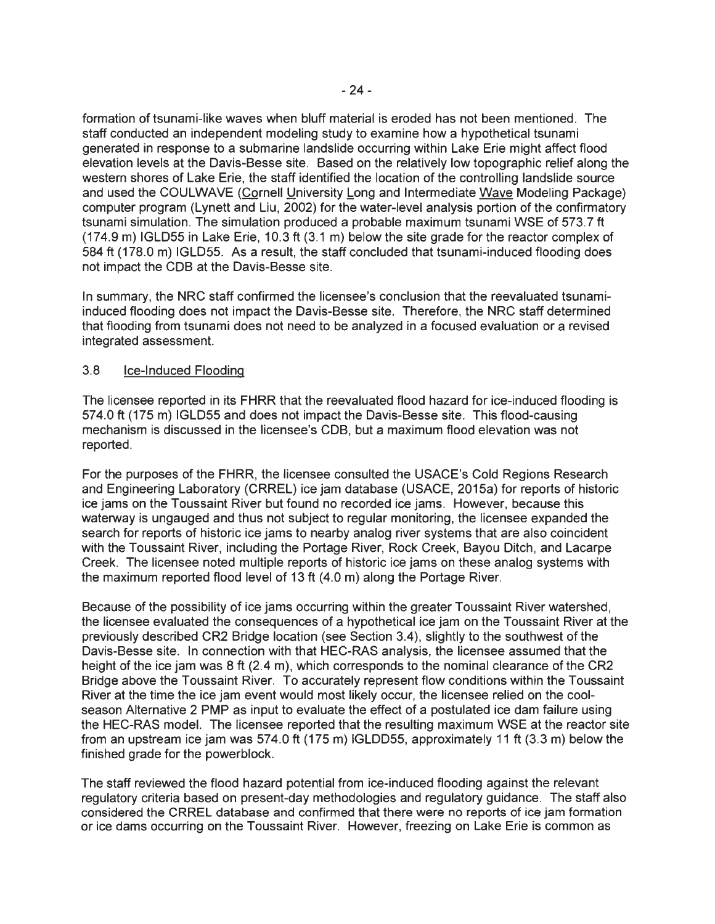formation of tsunami-like waves when bluff material is eroded has not been mentioned. The staff conducted an independent modeling study to examine how a hypothetical tsunami generated in response to a submarine landslide occurring within Lake Erie might affect flood elevation levels at the Davis-Besse site. Based on the relatively low topographic relief along the western shores of Lake Erie, the staff identified the location of the controlling landslide source and used the COULWAVE (Cornell University Long and Intermediate Wave Modeling Package) computer program (Lynett and Liu, 2002) for the water-level analysis portion of the confirmatory tsunami simulation. The simulation produced a probable maximum tsunami WSE of 573. 7 ft (174.9 m) IGLD55 in Lake Erie, 10.3 ft (3.1 m) below the site grade for the reactor complex of 584 ft (178.0 m) IGLD55. As a result, the staff concluded that tsunami-induced flooding does not impact the CDB at the Davis-Besse site.

In summary, the NRC staff confirmed the licensee's conclusion that the reevaluated tsunamiinduced flooding does not impact the Davis-Besse site. Therefore, the NRC staff determined that flooding from tsunami does not need to be analyzed in a focused evaluation or a revised integrated assessment.

## 3.8 Ice-Induced Flooding

The licensee reported in its FHRR that the reevaluated flood hazard for ice-induced flooding is 57 4.0 ft (175 m) IGLD55 and does not impact the Davis-Besse site. This flood-causing mechanism is discussed in the licensee's CDB, but a maximum flood elevation was not reported.

For the purposes of the FHRR, the licensee consulted the USACE's Cold Regions Research and Engineering Laboratory (CRREL) ice jam database (USAGE, 2015a) for reports of historic ice jams on the Toussaint River but found no recorded ice jams. However, because this waterway is ungauged and thus not subject to regular monitoring, the licensee expanded the search for reports of historic ice jams to nearby analog river systems that are also coincident with the Toussaint River, including the Portage River, Rock Creek, Bayou Ditch, and Lacarpe Creek. The licensee noted multiple reports of historic ice jams on these analog systems with the maximum reported flood level of 13 ft (4.0 m) along the Portage River.

Because of the possibility of ice jams occurring within the greater Toussaint River watershed, the licensee evaluated the consequences of a hypothetical ice jam on the Toussaint River at the previously described CR2 Bridge location (see Section 3.4), slightly to the southwest of the Davis-Besse site. In connection with that HEC-RAS analysis, the licensee assumed that the height of the ice jam was 8 ft (2.4 m), which corresponds to the nominal clearance of the CR2 Bridge above the Toussaint River. To accurately represent flow conditions within the Toussaint River at the time the ice jam event would most likely occur, the licensee relied on the coolseason Alternative 2 PMP as input to evaluate the effect of a postulated ice dam failure using the HEC-RAS model. The licensee reported that the resulting maximum WSE at the reactor site from an upstream ice jam was 574.0 ft (175 m) IGLDD55, approximately 11 ft (3.3 m) below the finished grade for the powerblock.

The staff reviewed the flood hazard potential from ice-induced flooding against the relevant regulatory criteria based on present-day methodologies and regulatory guidance. The staff also considered the CRREL database and confirmed that there were no reports of ice jam formation or ice dams occurring on the Toussaint River. However, freezing on Lake Erie is common as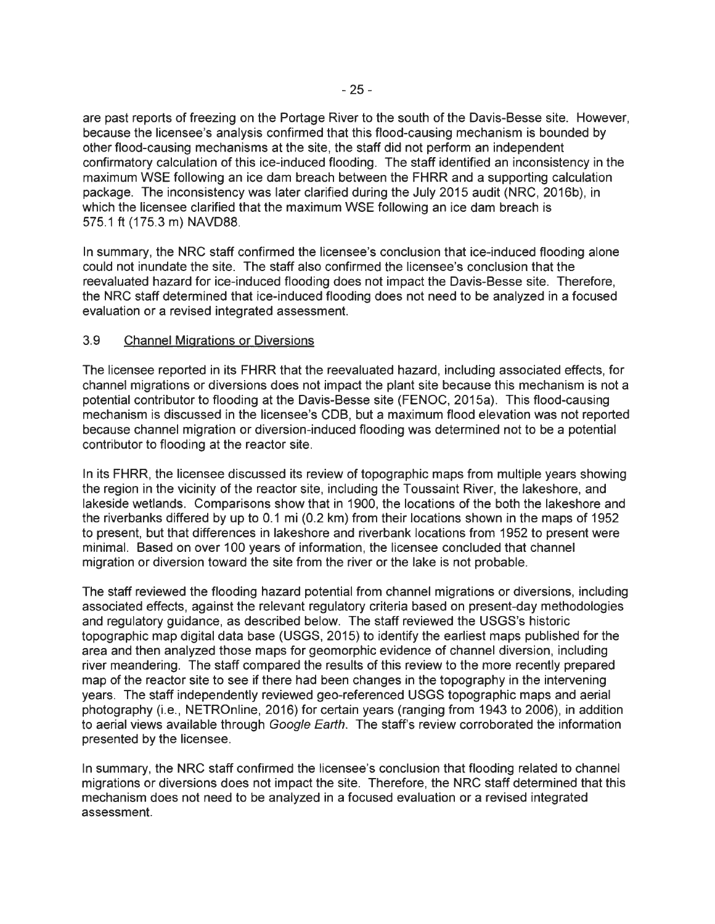are past reports of freezing on the Portage River to the south of the Davis-Besse site. However, because the licensee's analysis confirmed that this flood-causing mechanism is bounded by other flood-causing mechanisms at the site, the staff did not perform an independent confirmatory calculation of this ice-induced flooding. The staff identified an inconsistency in the maximum WSE following an ice dam breach between the FHRR and a supporting calculation package. The inconsistency was later clarified during the July 2015 audit (NRC, 2016b), in which the licensee clarified that the maximum WSE following an ice dam breach is 575.1 ft (175.3 m) NAVD88.

In summary, the NRC staff confirmed the licensee's conclusion that ice-induced flooding alone could not inundate the site. The staff also confirmed the licensee's conclusion that the reevaluated hazard for ice-induced flooding does not impact the Davis-Besse site. Therefore, the NRC staff determined that ice-induced flooding does not need to be analyzed in a focused evaluation or a revised integrated assessment.

# 3.9 Channel Migrations or Diversions

The licensee reported in its FHRR that the reevaluated hazard, including associated effects, for channel migrations or diversions does not impact the plant site because this mechanism is not a potential contributor to flooding at the Davis-Besse site (FENOC, 2015a). This flood-causing mechanism is discussed in the licensee's COB, but a maximum flood elevation was not reported because channel migration or diversion-induced flooding was determined not to be a potential contributor to flooding at the reactor site.

In its FHRR, the licensee discussed its review of topographic maps from multiple years showing the region in the vicinity of the reactor site, including the Toussaint River, the lakeshore, and lakeside wetlands. Comparisons show that in 1900, the locations of the both the lakeshore and the riverbanks differed by up to 0.1 mi (0.2 km) from their locations shown in the maps of 1952 to present, but that differences in lakeshore and riverbank locations from 1952 to present were minimal. Based on over 100 years of information, the licensee concluded that channel migration or diversion toward the site from the river or the lake is not probable.

The staff reviewed the flooding hazard potential from channel migrations or diversions, including associated effects, against the relevant regulatory criteria based on present-day methodologies and regulatory guidance, as described below. The staff reviewed the USGS's historic topographic map digital data base (USGS, 2015) to identify the earliest maps published for the area and then analyzed those maps for geomorphic evidence of channel diversion, including river meandering. The staff compared the results of this review to the more recently prepared map of the reactor site to see if there had been changes in the topography in the intervening years. The staff independently reviewed gee-referenced USGS topographic maps and aerial photography (i.e., NETROnline, 2016) for certain years (ranging from 1943 to 2006), in addition to aerial views available through Google Earth. The staff's review corroborated the information presented by the licensee.

In summary, the NRC staff confirmed the licensee's conclusion that flooding related to channel migrations or diversions does not impact the site. Therefore, the NRC staff determined that this mechanism does not need to be analyzed in a focused evaluation or a revised integrated assessment.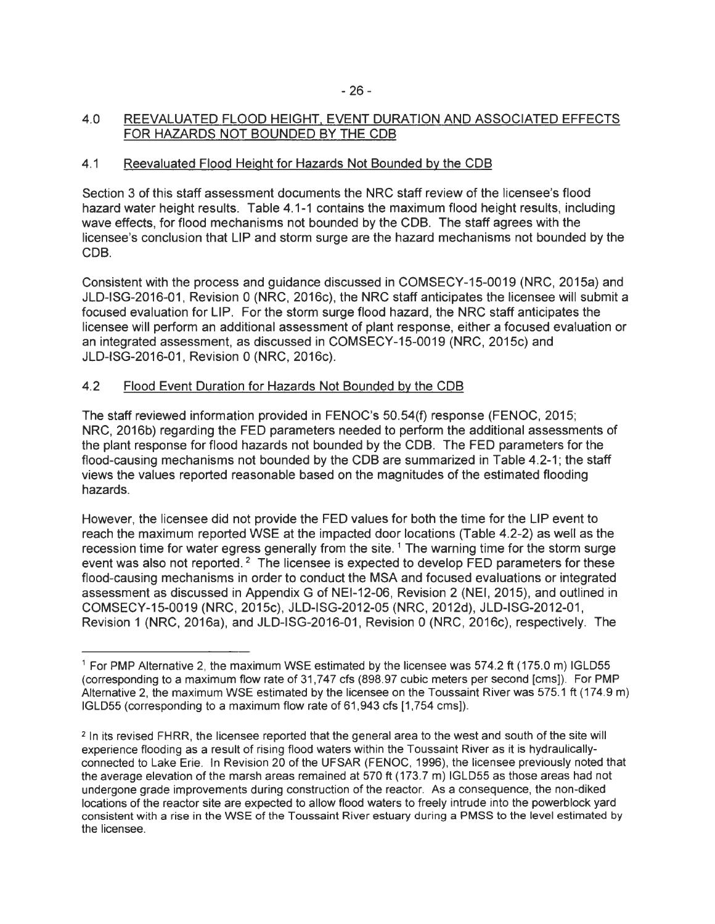## 4.0 REEVALUATED FLOOD HEIGHT, EVENT DURATION AND ASSOCIATED EFFECTS FOR HAZARDS NOT BOUNDED BY THE COB

# 4.1 Reevaluated Flood Height for Hazards Not Bounded by the COB

Section 3 of this staff assessment documents the NRC staff review of the licensee's flood hazard water height results. Table 4.1-1 contains the maximum flood height results, including wave effects, for flood mechanisms not bounded by the COB. The staff agrees with the licensee's conclusion that LIP and storm surge are the hazard mechanisms not bounded by the COB.

Consistent with the process and guidance discussed in COMSECY-15-0019 (NRC, 2015a) and JLD-ISG-2016-01 , Revision 0 (NRC, 2016c), the NRC staff anticipates the licensee will submit a focused evaluation for LIP. For the storm surge flood hazard, the NRC staff anticipates the licensee will perform an additional assessment of plant response, either a focused evaluation or an integrated assessment, as discussed in COMSECY-15-0019 (NRC, 2015c) and JLD-ISG-2016-01 , Revision 0 (NRC, 2016c).

# 4.2 Flood Event Duration for Hazards Not Bounded by the COB

The staff reviewed information provided in FENOC's 50.54(f) response (FENOC, 2015; NRC, 2016b) regarding the FED parameters needed to perform the additional assessments of the plant response for flood hazards not bounded by the COB. The FED parameters for the flood-causing mechanisms not bounded by the CDB are summarized in Table 4.2-1; the staff views the values reported reasonable based on the magnitudes of the estimated flooding hazards.

However, the licensee did not provide the FED values for both the time for the LIP event to reach the maximum reported WSE at the impacted door locations (Table 4.2-2) as well as the recession time for water egress generally from the site.<sup>1</sup> The warning time for the storm surge event was also not reported.<sup>2</sup> The licensee is expected to develop FED parameters for these flood-causing mechanisms in order to conduct the MSA and focused evaluations or integrated assessment as discussed in Appendix G of NEI-12-06, Revision 2 (NEI, 2015), and outlined in COMSECY-15-0019 (NRC, 2015c), JLD-ISG-2012-05 (NRC, 2012d), JLD-ISG-2012-01, Revision 1 (NRC, 2016a), and JLD-ISG-2016-01, Revision 0 (NRC, 2016c), respectively. The

 $1$  For PMP Alternative 2, the maximum WSE estimated by the licensee was 574.2 ft (175.0 m) IGLD55 (corresponding to a maximum flow rate of 31 ,747 cfs (898.97 cubic meters per second [ems]). For PMP Alternative 2, the maximum WSE estimated by the licensee on the Toussaint River was 575.1 ft (174.9 m) IGLD55 (corresponding to a maximum flow rate of 61,943 cfs [1 ,754 ems]).

<sup>&</sup>lt;sup>2</sup> In its revised FHRR, the licensee reported that the general area to the west and south of the site will experience flooding as a result of rising flood waters within the Toussaint River as it is hydraulicallyconnected to Lake Erie. In Revision 20 of the UFSAR (FENOC, 1996), the licensee previously noted that the average elevation of the marsh areas remained at 570 ft (173.7 m) IGLD55 as those areas had not undergone grade improvements during construction of the reactor. As a consequence, the non-diked locations of the reactor site are expected to allow flood waters to freely intrude into the powerblock yard consistent with a rise in the WSE of the Toussaint River estuary during a PMSS to the level estimated by the licensee.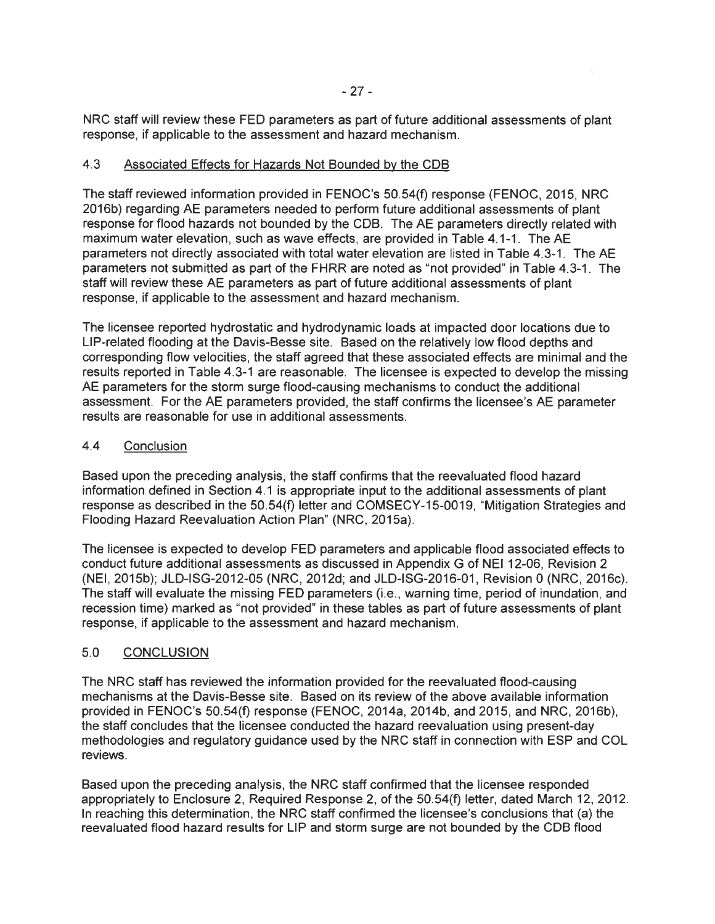NRC staff will review these FED parameters as part of future additional assessments of plant response, if applicable to the assessment and hazard mechanism.

## 4.3 Associated Effects for Hazards Not Bounded by the COB

The staff reviewed information provided in FENOC's 50.54(f) response (FENOC, 2015, NRC 2016b) regarding AE parameters needed to perform future additional assessments of plant response for flood hazards not bounded by the COB. The AE parameters directly related with maximum water elevation, such as wave effects, are provided in Table 4.1-1 . The AE parameters not directly associated with total water elevation are listed in Table 4.3-1. The AE parameters not submitted as part of the FHRR are noted as "not provided" in Table 4.3-1. The staff will review these AE parameters as part of future additional assessments of plant response, if applicable to the assessment and hazard mechanism.

The licensee reported hydrostatic and hydrodynamic loads at impacted door locations due to LIP-related flooding at the Davis-Besse site. Based on the relatively low flood depths and corresponding flow velocities, the staff agreed that these associated effects are minimal and the results reported in Table 4.3-1 are reasonable. The licensee is expected to develop the missing AE parameters for the storm surge flood-causing mechanisms to conduct the additional assessment. For the AE parameters provided, the staff confirms the licensee's AE parameter results are reasonable for use in additional assessments.

## 4.4 Conclusion

Based upon the preceding analysis, the staff confirms that the reevaluated flood hazard information defined in Section 4.1 is appropriate input to the additional assessments of plant response as described in the 50.54(f) letter and COMSECY-15-0019, "Mitigation Strategies and Flooding Hazard Reevaluation Action Plan" (NRC, 2015a).

The licensee is expected to develop FED parameters and applicable flood associated effects to conduct future additional assessments as discussed in Appendix G of NEI 12-06, Revision 2 (NEI, 2015b); JLD-ISG-2012-05 (NRC, 2012d; and JLD-ISG-2016-01, Revision 0 (NRC, 2016c). The staff will evaluate the missing FED parameters (i.e. , warning time, period of inundation, and recession time) marked as "not provided" in these tables as part of future assessments of plant response, if applicable to the assessment and hazard mechanism.

# 5.0 CONCLUSION

The NRC staff has reviewed the information provided for the reevaluated flood-causing mechanisms at the Davis-Besse site. Based on its review of the above available information provided in FENOC's 50.54(f) response (FENOC, 2014a, 2014b, and 2015, and NRC, 2016b), the staff concludes that the licensee conducted the hazard reevaluation using present-day methodologies and regulatory guidance used by the NRC staff in connection with ESP and COL reviews.

Based upon the preceding analysis, the NRC staff confirmed that the licensee responded appropriately to Enclosure 2, Required Response 2, of the 50.54(f) letter, dated March 12, 2012. In reaching this determination, the NRC staff confirmed the licensee's conclusions that (a) the reevaluated flood hazard results for LIP and storm surge are not bounded by the COB flood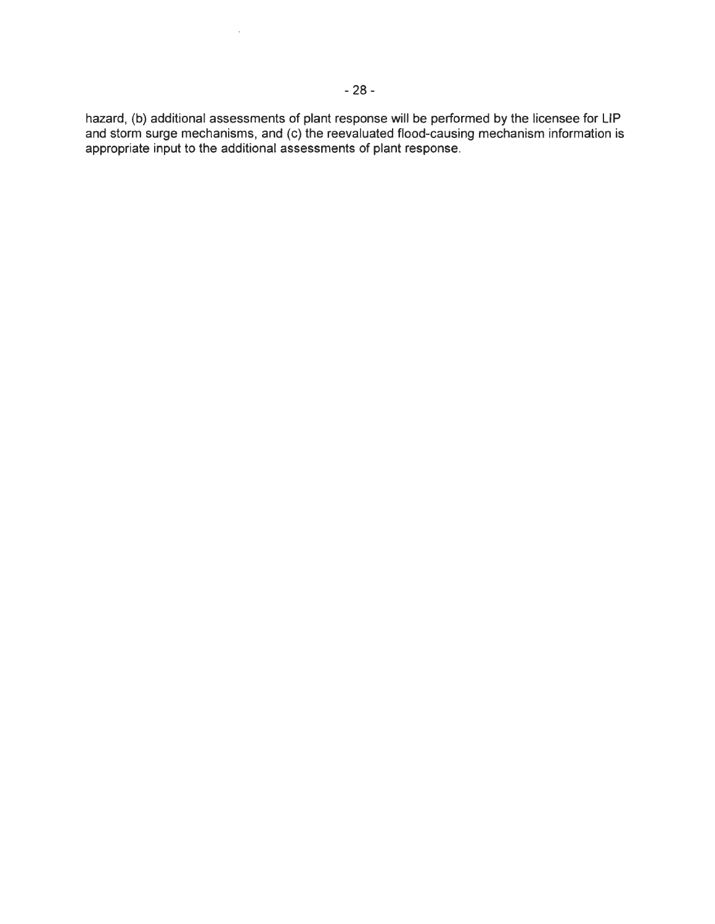hazard, (b) additional assessments of plant response will be performed by the licensee for LIP and storm surge mechanisms, and (c) the reevaluated flood-causing mechanism information is appropriate input to the additional assessments of plant response.

 $\ddot{\phantom{a}}$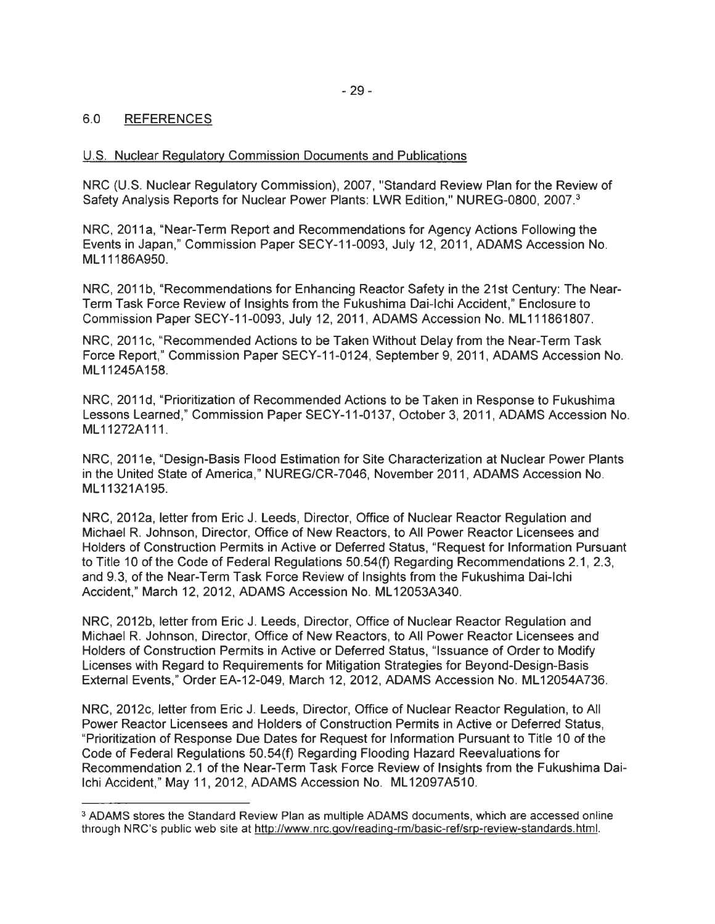# 6.0 REFERENCES

## U.S. Nuclear Regulatory Commission Documents and Publications

NRC (U.S. Nuclear Regulatory Commission), 2007, "Standard Review Plan for the Review of Safety Analysis Reports for Nuclear Power Plants: LWR Edition," NUREG-0800, 2007.<sup>3</sup>

NRC, 2011a, "Near-Term Report and Recommendations for Agency Actions Following the Events in Japan," Commission Paper SECY-11-0093, July 12, 2011 , ADAMS Accession No. ML 11186A950.

NRC, 2011b, "Recommendations for Enhancing Reactor Safety in the 21st Century: The Near-Term Task Force Review of Insights from the Fukushima Dai-lchi Accident," Enclosure to Commission Paper SECY-11-0093, July 12, 2011 , ADAMS Accession No. ML 111861807.

NRC, 2011c, "Recommended Actions to be Taken Without Delay from the Near-Term Task Force Report," Commission Paper SECY-11-0124, September 9, 2011 , ADAMS Accession No. ML11245A158.

NRC, 2011d, "Prioritization of Recommended Actions to be Taken in Response to Fukushima Lessons Learned," Commission Paper SECY-11-0137, October 3, 2011 , ADAMS Accession No. ML1 1272A111.

NRC, 2011e, "Design-Basis Flood Estimation for Site Characterization at Nuclear Power Plants in the United State of America," NUREG/CR-7046, November 2011, ADAMS Accession No. ML11321A195.

NRC, 2012a, letter from Eric J. Leeds, Director, Office of Nuclear Reactor Regulation and Michael R. Johnson, Director, Office of New Reactors, to All Power Reactor Licensees and Holders of Construction Permits in Active or Deferred Status, "Request for Information Pursuant to Title 10 of the Code of Federal Regulations 50.54(f) Regarding Recommendations 2.1, 2.3, and 9.3, of the Near-Term Task Force Review of Insights from the Fukushima Dai-lchi Accident," March 12, 2012, ADAMS Accession No. ML12053A340.

NRC, 2012b, letter from Eric J. Leeds, Director, Office of Nuclear Reactor Regulation and Michael R. Johnson, Director, Office of New Reactors, to All Power Reactor Licensees and Holders of Construction Permits in Active or Deferred Status, "Issuance of Order to Modify Licenses with Regard to Requirements for Mitigation Strategies for Beyond-Design-Basis External Events," Order EA-12-049, March 12, 2012, ADAMS Accession No. ML12054A736.

NRC, 2012c, letter from Eric J. Leeds, Director, Office of Nuclear Reactor Regulation, to All Power Reactor Licensees and Holders of Construction Permits in Active or Deferred Status, "Prioritization of Response Due Dates for Request for Information Pursuant to Title 10 of the Code of Federal Regulations 50.54(f) Regarding Flooding Hazard Reevaluations for Recommendation 2.1 of the Near-Term Task Force Review of Insights from the Fukushima Dai-Ichi Accident," May 11, 2012, ADAMS Accession No. ML12097A510.

<sup>&</sup>lt;sup>3</sup> ADAMS stores the Standard Review Plan as multiple ADAMS documents, which are accessed online through NRC's public web site at http://www.nrc.gov/reading-rm/basic-ref/srp-review-standards.html.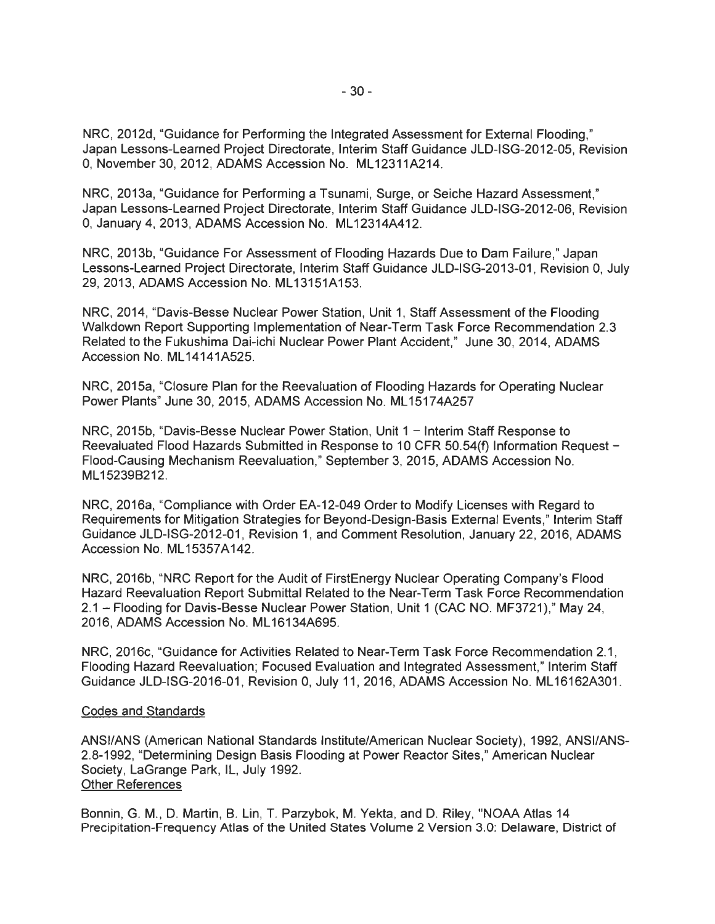NRC, 2012d, "Guidance for Performing the Integrated Assessment for External Flooding," Japan Lessons-Learned Project Directorate, Interim Staff Guidance JLD-ISG-2012-05, Revision 0, November 30, 2012, ADAMS Accession No. ML 12311A214.

NRC, 2013a, "Guidance for Performing a Tsunami, Surge, or Seiche Hazard Assessment," Japan Lessons-Learned Project Directorate, Interim Staff Guidance JLD-ISG-2012-06, Revision 0, January 4, 2013, ADAMS Accession No. ML12314A412.

NRC, 2013b, "Guidance For Assessment of Flooding Hazards Due to Dam Failure," Japan Lessons-Learned Project Directorate, Interim Staff Guidance JLD-ISG-2013-01 , Revision 0, July 29, 2013, ADAMS Accession No. ML13151A153.

NRC, 2014, "Davis-Besse Nuclear Power Station, Unit 1, Staff Assessment of the Flooding Walkdown Report Supporting Implementation of Near-Term Task Force Recommendation 2.3 Related to the Fukushima Dai-ichi Nuclear Power Plant Accident," June 30, 2014, ADAMS Accession No. ML 14141A525.

NRC, 2015a, "Closure Plan for the Reevaluation of Flooding Hazards for Operating Nuclear Power Plants" June 30, 2015, ADAMS Accession No. ML15174A257

NRC, 2015b, "Davis-Besse Nuclear Power Station, Unit 1 - Interim Staff Response to Reevaluated Flood Hazards Submitted in Response to 10 CFR 50.54(f) Information Request - Flood-Causing Mechanism Reevaluation," September 3, 2015, ADAMS Accession No. ML 15239B212.

NRC, 2016a, "Compliance with Order EA-12-049 Order to Modify Licenses with Regard to Requirements for Mitigation Strategies for Beyond-Design-Basis External Events," Interim Staff Guidance JLD-ISG-2012-01 , Revision 1, and Comment Resolution, January 22, 2016, ADAMS Accession No. ML 15357A142.

NRC, 2016b, "NRC Report for the Audit of FirstEnergy Nuclear Operating Company's Flood Hazard Reevaluation Report Submittal Related to the Near-Term Task Force Recommendation 2.1 - Flooding for Davis-Besse Nuclear Power Station, Unit 1 (CAC NO. MF3721)," May 24, 2016, ADAMS Accession No. ML 16134A695.

NRC, 2016c, "Guidance for Activities Related to Near-Term Task Force Recommendation 2.1, Flooding Hazard Reevaluation; Focused Evaluation and Integrated Assessment," Interim Staff Guidance JLD-ISG-2016-01, Revision 0, July 11, 2016, ADAMS Accession No. ML16162A301.

#### Codes and Standards

ANSI/ANS (American National Standards Institute/American Nuclear Society), 1992, ANSl/ANS-2.8-1992, "Determining Design Basis Flooding at Power Reactor Sites," American Nuclear Society, LaGrange Park, IL, July 1992. Other References

Bonnin, G. M., D. Martin, B. Lin, T. Parzybok, M. Yekta, and D. Riley, "NOAA Atlas 14 Precipitation-Frequency Atlas of the United States Volume 2 Version 3.0: Delaware, District of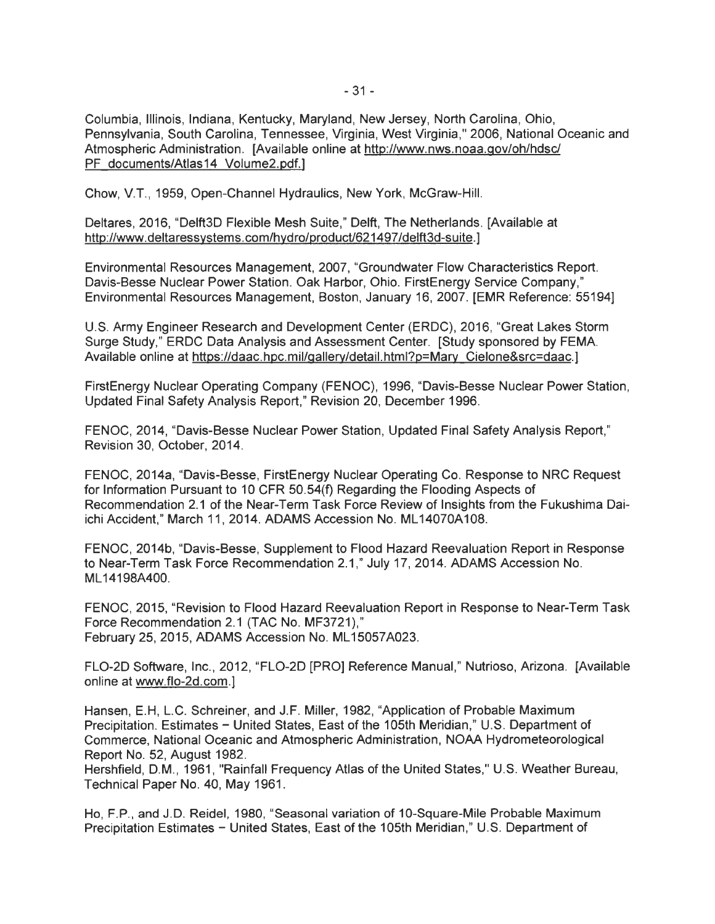Columbia, Illinois, Indiana, Kentucky, Maryland, New Jersey, North Carolina, Ohio, Pennsylvania, South Carolina, Tennessee, Virginia, West Virginia," 2006, National Oceanic and Atmospheric Administration. [Available online at http://www.nws.noaa.gov/oh/hdsc/ PF documents/Atlas14 Volume2.pdf.]

Chow, V.T. , 1959, Open-Channel Hydraulics, New York, McGraw-Hill.

Deltares, 2016, "Delft3D Flexible Mesh Suite," Delft, The Netherlands. [Available at http://www.deltaressystems.com/hydro/product/621497 /delft3d-suite.]

Environmental Resources Management, 2007, "Groundwater Flow Characteristics Report. Davis-Besse Nuclear Power Station. Oak Harbor, Ohio. FirstEnergy Service Company," Environmental Resources Management, Boston, January 16, 2007. [EMR Reference: 55194]

U.S. Army Engineer Research and Development Center (ERDC), 2016, "Great Lakes Storm Surge Study," ERDC Data Analysis and Assessment Center. [Study sponsored by FEMA. Available online at https://daac.hpc.mil/qallerv/detail.html?p=Mary Cielone&src=daac.]

FirstEnergy Nuclear Operating Company (FENOC), 1996, "Davis-Besse Nuclear Power Station, Updated Final Safety Analysis Report," Revision 20, December 1996.

FENOC, 2014, "Davis-Besse Nuclear Power Station, Updated Final Safety Analysis Report," Revision 30, October, 2014.

FENOC, 2014a, "Davis-Besse, FirstEnergy Nuclear Operating Co. Response to NRC Request for Information Pursuant to 10 CFR 50.54(f) Regarding the Flooding Aspects of Recommendation 2.1 of the Near-Term Task Force Review of Insights from the Fukushima Daiichi Accident," March 11, 2014. ADAMS Accession No. ML14070A108.

FENOC, 2014b, "Davis-Besse, Supplement to Flood Hazard Reevaluation Report in Response to Near-Term Task Force Recommendation 2.1," July 17, 2014. ADAMS Accession No. ML 14198A400.

FENOC, 2015, "Revision to Flood Hazard Reevaluation Report in Response to Near-Term Task Force Recommendation 2.1 (TAC No. MF3721)," February 25, 2015, ADAMS Accession No. ML 15057 A023.

FL0-2D Software, Inc., 2012, "FL0-2D [PRO] Reference Manual," Nutrioso, Arizona. [Available online at www.flo-2d.com.]

Hansen, E.H, L.C. Schreiner, and J.F. Miller, 1982, "Application of Probable Maximum Precipitation. Estimates - United States, East of the 105th Meridian," U.S. Department of Commerce, National Oceanic and Atmospheric Administration, NOAA Hydrometeorological Report No. 52, August 1982.

Hershfield, D.M., 1961, "Rainfall Frequency Atlas of the United States," U.S. Weather Bureau, Technical Paper No. 40, May 1961.

Ho, F.P. , and J.D. Reidel, 1980, "Seasonal variation of 10-Square-Mile Probable Maximum Precipitation Estimates - United States, East of the 105th Meridian," U.S. Department of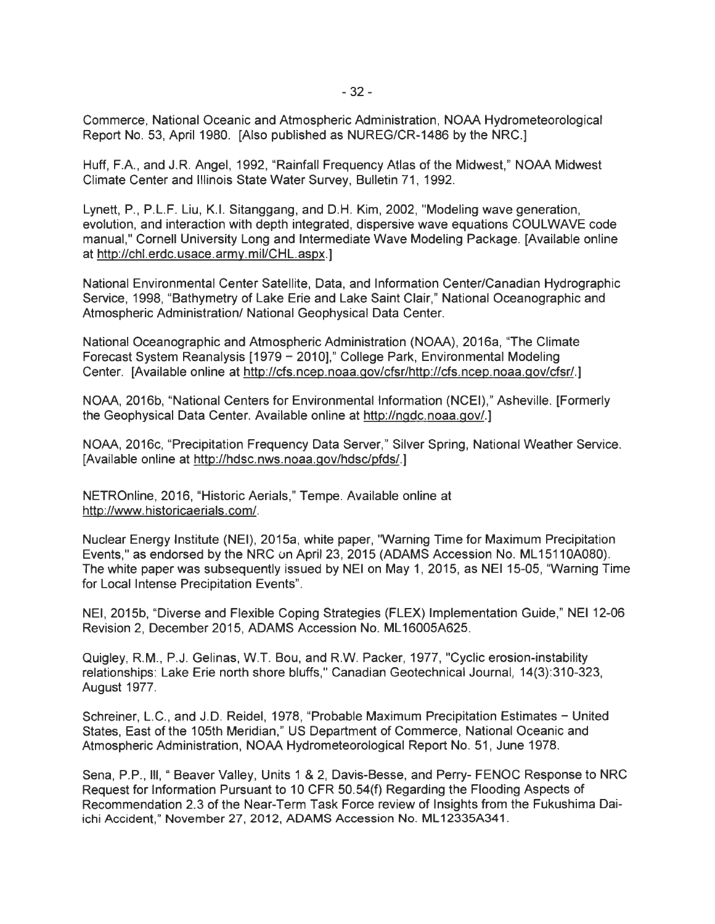Commerce, National Oceanic and Atmospheric Administration, NOAA Hydrometeorological Report No. 53, April 1980. [Also published as NUREG/CR-1486 by the NRC.]

Huff, F.A. , and J.R. Angel, 1992, "Rainfall Frequency Atlas of the Midwest," NOAA Midwest Climate Center and Illinois State Water Survey, Bulletin 71 , 1992.

Lynett, P., P.L.F. Liu, K.I. Sitanggang, and D.H. Kim, 2002, "Modeling wave generation, evolution, and interaction with depth integrated, dispersive wave equations COULWAVE code manual," Cornell University Long and Intermediate Wave Modeling Package. [Available online at http://chl.erdc.usace.army.mil/CHL.aspx.]

National Environmental Center Satellite, Data, and Information Center/Canadian Hydrographic Service, 1998, "Bathymetry of Lake Erie and Lake Saint Clair," National Oceanographic and Atmospheric Administration/ National Geophysical Data Center.

National Oceanographic and Atmospheric Administration (NOAA), 2016a, "The Climate Forecast System Reanalysis [1979 - 2010]," College Park, Environmental Modeling Center. [Available online at http://cfs.ncep.noaa.gov/cfsr/http://cfs.ncep.noaa.gov/cfsr/.]

NOAA, 2016b, "National Centers for Environmental Information (NCEI)," Asheville. [Formerly the Geophysical Data Center. Available online at http://ngdc.noaa.gov/.)

NOAA, 2016c, "Precipitation Frequency Data Server," Silver Spring, National Weather Service. [Available online at http://hdsc.nws.noaa.gov/hdsc/pfds/.)

NETROnline, 2016, "Historic Aerials," Tempe. Available online at http://www.historicaerials.com/.

Nuclear Energy Institute (NEI), 2015a, white paper, 'Warning Time for Maximum Precipitation Events," as endorsed by the NRC un April 23, 2015 (ADAMS Accession No. ML 15110A080). The white paper was subsequently issued by NEI on May 1, 2015, as NEI 15-05, "Warning Time for Local Intense Precipitation Events".

NEI, 2015b, "Diverse and Flexible Coping Strategies (FLEX) Implementation Guide," NEI 12-06 Revision 2, December 2015, ADAMS Accession No. ML 16005A625.

Quigley, RM., P.J. Gelinas, W.T. Bou, and R.W. Packer, 1977, "Cyclic erosion-instability relationships: Lake Erie north shore bluffs," Canadian Geotechnical Journal, 14(3):310-323, August 1977.

Schreiner, L.C., and J.D. Reidel, 1978, "Probable Maximum Precipitation Estimates - United States, East of the 105th Meridian," US Department of Commerce, National Oceanic and Atmospheric Administration, NOAA Hydrometeorological Report No. 51 , June 1978.

Sena, P.P., Ill," Beaver Valley, Units 1 & 2, Davis-Besse, and Perry- FENOC Response to NRC Request for Information Pursuant to 10 CFR 50.54(f) Regarding the Flooding Aspects of Recommendation 2.3 of the Near-Term Task Force review of Insights from the Fukushima Daiichi Accident," November 27, 2012, ADAMS Accession No. ML12335A341.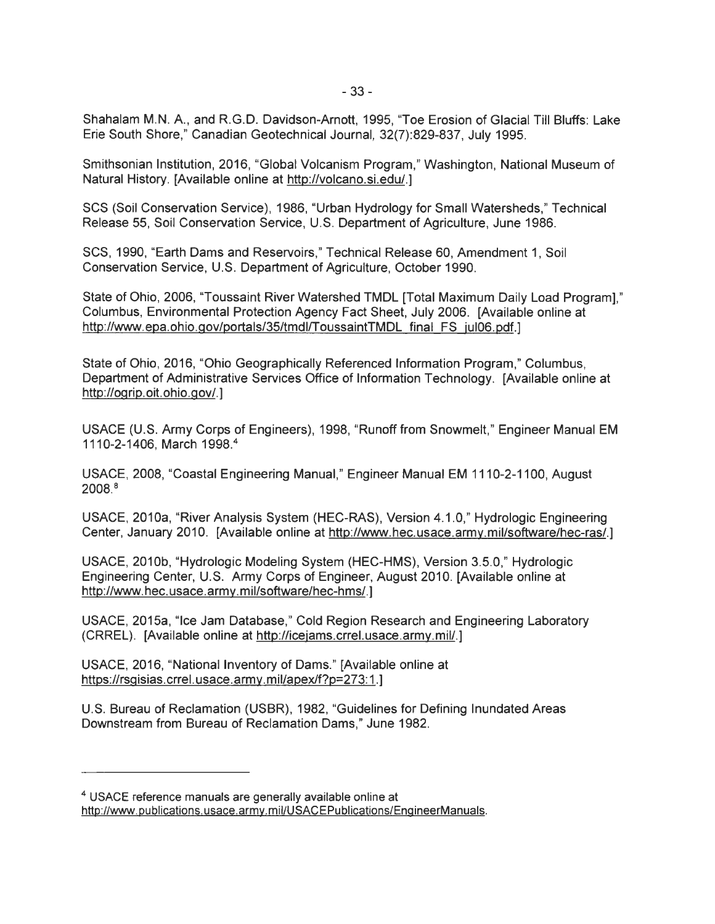Shahalam M.N. A. , and R.G.D. Davidson-Arnott, 1995, "Toe Erosion of Glacial Till Bluffs: Lake Erie South Shore," Canadian Geotechnical Journal, 32(7):829-837, July 1995.

Smithsonian Institution, 2016, "Global Volcanism Program," Washington, National Museum of Natural History. [Available online at http://volcano.si.edu/.]

SCS (Soil Conservation Service), 1986, "Urban Hydrology for Small Watersheds," Technical Release 55, Soil Conservation Service, U.S. Department of Agriculture, June 1986.

SCS, 1990, "Earth Dams and Reservoirs," Technical Release 60, Amendment 1, Soil Conservation Service, U.S. Department of Agriculture, October 1990.

State of Ohio, 2006, "Toussaint River Watershed TMDL [Total Maximum Daily Load Program)," Columbus, Environmental Protection Agency Fact Sheet, July 2006. [Available online at http://www.epa.ohio.gov/portals/35/tmdl/ToussaintTMDL final FS jul06.pdf.]

State of Ohio, 2016, "Ohio Geographically Referenced Information Program," Columbus, Department of Administrative Services Office of Information Technology. [Available online at http://ogrip.oit.ohio.gov/.]

USACE (U.S. Army Corps of Engineers), 1998, "Runoff from Snowmelt," Engineer Manual EM 1110-2-1406, March 1998. 4

USACE, 2008, "Coastal Engineering Manual," Engineer Manual EM 1110-2-1100, August 2008. 8

USACE, 2010a, "River Analysis System (HEC-RAS), Version 4.1.0," Hydrologic Engineering Center, January 2010. [Available online at http://www.hec.usace.army.mil/software/hec-ras/.]

USACE, 2010b, "Hydrologic Modeling System (HEC-HMS), Version 3.5.0," Hydrologic Engineering Center, U.S. Army Corps of Engineer, August 2010. [Available online at http://www.hec.usace.army.mil/software/hec-hms/.]

USACE, 2015a, "Ice Jam Database," Cold Region Research and Engineering Laboratory (CRREL). [Available online at http://icejams.crrel.usace.army.mil/.]

USACE, 2016, "National Inventory of Dams." [Available online at https://rsgisias. crrel. usace. army. mil/apex/f?p=273: 1.)

U.S. Bureau of Reclamation (USBR), 1982, "Guidelines for Defining Inundated Areas Downstream from Bureau of Reclamation Dams," June 1982.

<sup>4</sup>USAGE reference manuals are generally available online at http://www.publications.usace.army.mil/USACEPublications/EngineerManuals.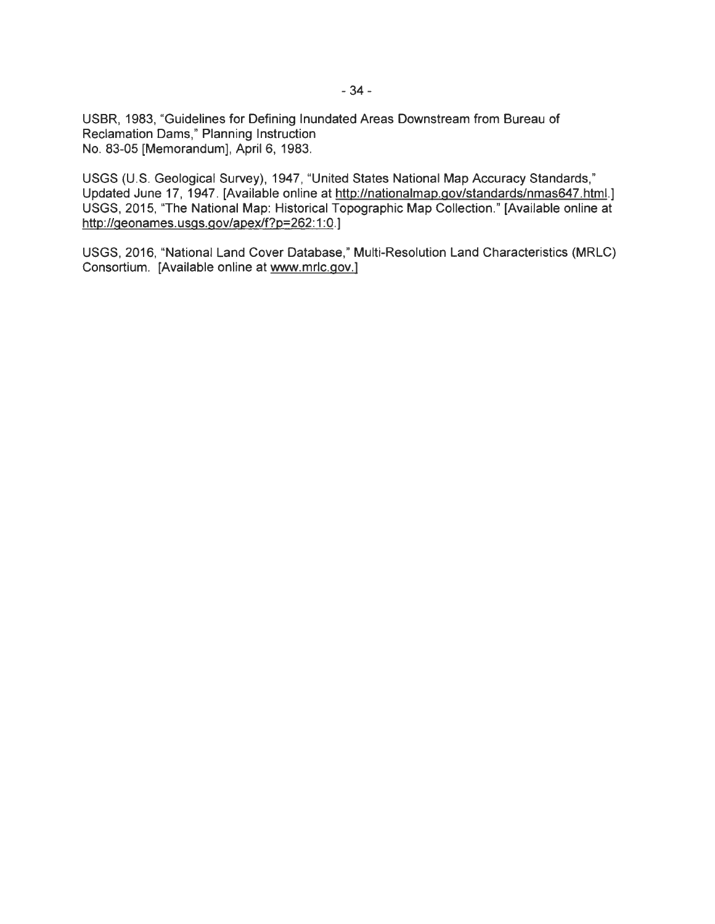USBR, 1983, "Guidelines for Defining Inundated Areas Downstream from Bureau of Reclamation Dams," Planning Instruction No. 83-05 [Memorandum], April 6, 1983.

USGS (U.S. Geological Survey), 1947, "United States National Map Accuracy Standards," Updated June 17, 1947. [Available online at http://nationalmap.gov/standards/nmas647.html.] USGS, 2015, "The National Map: Historical Topographic Map Collection." [Available online at http://geonames.usgs.gov/apex/f?p=262:1:0.]

USGS, 2016, "National Land Cover Database," Multi-Resolution Land Characteristics (MRLC) Consortium. [Available online at www.mrlc.gov.]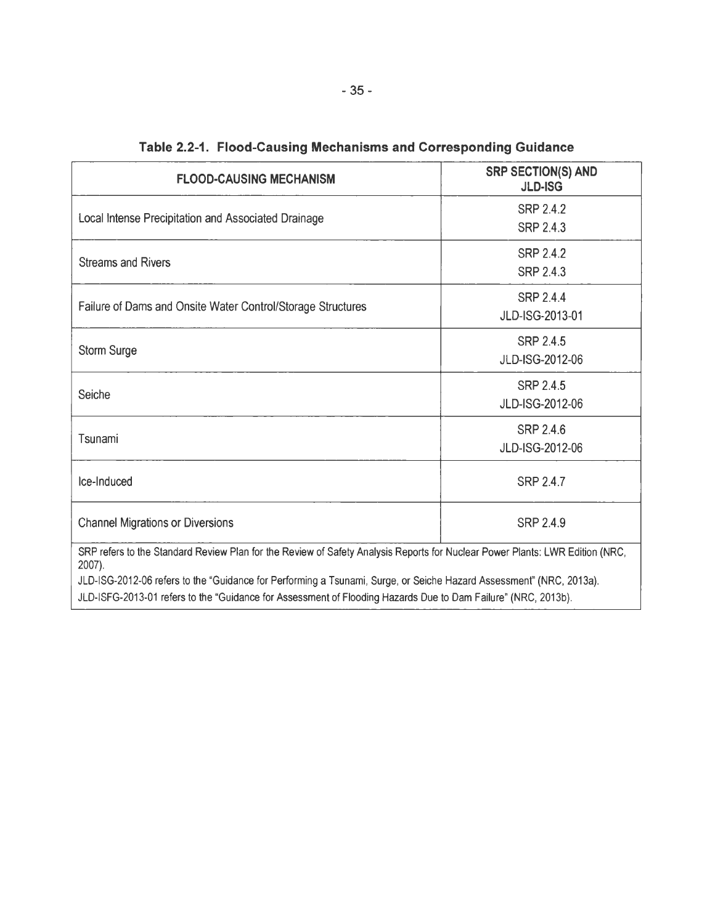| <b>FLOOD-CAUSING MECHANISM</b>                                                                                                         | <b>SRP SECTION(S) AND</b><br><b>JLD-ISG</b> |  |  |
|----------------------------------------------------------------------------------------------------------------------------------------|---------------------------------------------|--|--|
|                                                                                                                                        | SRP 2.4.2                                   |  |  |
| Local Intense Precipitation and Associated Drainage                                                                                    | <b>SRP 2.4.3</b>                            |  |  |
| <b>Streams and Rivers</b>                                                                                                              | <b>SRP 2.4.2</b>                            |  |  |
|                                                                                                                                        | <b>SRP 2.4.3</b>                            |  |  |
|                                                                                                                                        | <b>SRP 2.4.4</b>                            |  |  |
| Failure of Dams and Onsite Water Control/Storage Structures                                                                            | JLD-ISG-2013-01                             |  |  |
|                                                                                                                                        | <b>SRP 2.4.5</b>                            |  |  |
| <b>Storm Surge</b>                                                                                                                     | JLD-ISG-2012-06                             |  |  |
|                                                                                                                                        | <b>SRP 2.4.5</b>                            |  |  |
| Seiche                                                                                                                                 | JLD-ISG-2012-06                             |  |  |
|                                                                                                                                        | <b>SRP 2.4.6</b>                            |  |  |
| Tsunami                                                                                                                                | JLD-ISG-2012-06                             |  |  |
| Ice-Induced                                                                                                                            | <b>SRP 2.4.7</b>                            |  |  |
| <b>Channel Migrations or Diversions</b>                                                                                                | <b>SRP 2.4.9</b>                            |  |  |
| SRP refers to the Standard Review Plan for the Review of Safety Analysis Reports for Nuclear Power Plants: LWR Edition (NRC,<br>2007). |                                             |  |  |
| JLD-ISG-2012-06 refers to the "Guidance for Performing a Tsunami, Surge, or Seiche Hazard Assessment" (NRC, 2013a).                    |                                             |  |  |
| JLD-ISFG-2013-01 refers to the "Guidance for Assessment of Flooding Hazards Due to Dam Failure" (NRC, 2013b).                          |                                             |  |  |

|  |  |  |  | Table 2.2-1. Flood-Causing Mechanisms and Corresponding Guidance |
|--|--|--|--|------------------------------------------------------------------|
|--|--|--|--|------------------------------------------------------------------|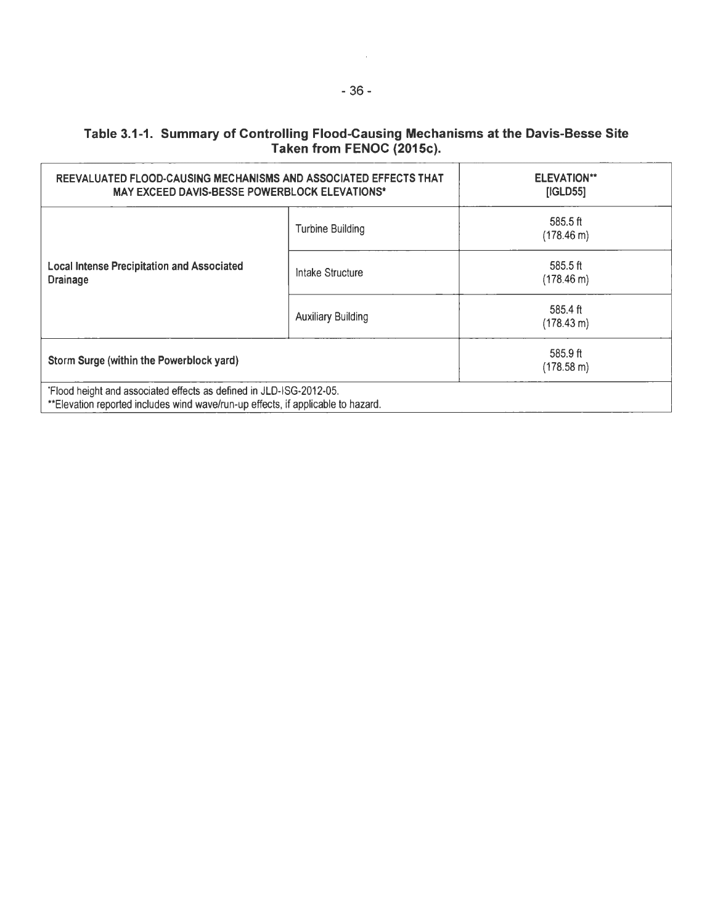# Table 3.1-1. Summary of Controlling Flood-Causing Mechanisms at the Davis-Besse Site Taken from FENOC (2015c).

| REEVALUATED FLOOD-CAUSING MECHANISMS AND ASSOCIATED EFFECTS THAT<br><b>MAY EXCEED DAVIS-BESSE POWERBLOCK ELEVATIONS*</b>                                |                           | <b>ELEVATION**</b><br>[IGLD55]     |
|---------------------------------------------------------------------------------------------------------------------------------------------------------|---------------------------|------------------------------------|
|                                                                                                                                                         | <b>Turbine Building</b>   | 585.5 ft<br>$(178.46 \text{ m})$   |
| <b>Local Intense Precipitation and Associated</b><br><b>Drainage</b>                                                                                    | Intake Structure          | $585.5$ ft<br>$(178.46 \text{ m})$ |
|                                                                                                                                                         | <b>Auxiliary Building</b> | 585.4 ft<br>$(178.43 \text{ m})$   |
| Storm Surge (within the Powerblock yard)                                                                                                                |                           | 585.9 ft<br>$(178.58 \text{ m})$   |
| 'Flood height and associated effects as defined in JLD-ISG-2012-05.<br>**Elevation reported includes wind wave/run-up effects, if applicable to hazard. |                           |                                    |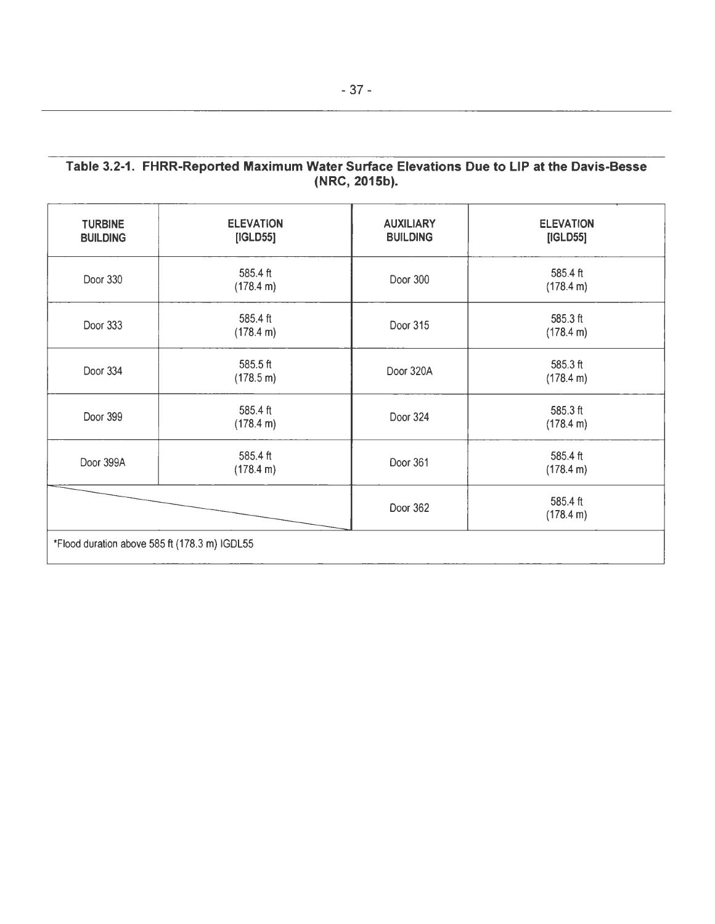# Table 3.2-1. FHRR-Reported Maximum Water Surface Elevations Due to LIP at the Davis-Besse (NRC, 2015b).

| <b>TURBINE</b><br><b>BUILDING</b>             | <b>ELEVATION</b><br>[IGLD55] | <b>AUXILIARY</b><br><b>BUILDING</b> | <b>ELEVATION</b><br>[IGLD55] |
|-----------------------------------------------|------------------------------|-------------------------------------|------------------------------|
| Door 330                                      | 585.4 ft<br>(178.4 m)        | Door 300                            | 585.4 ft<br>(178.4 m)        |
| Door 333                                      | 585.4 ft<br>(178.4 m)        | Door 315                            | 585.3 ft<br>(178.4 m)        |
| Door 334                                      | 585.5 ft<br>(178.5 m)        | Door 320A                           | 585.3 ft<br>(178.4 m)        |
| Door 399                                      | 585.4 ft<br>(178.4 m)        | Door 324                            | 585.3 ft<br>(178.4 m)        |
| Door 399A                                     | 585.4 ft<br>(178.4 m)        | Door 361                            | 585.4 ft<br>(178.4 m)        |
|                                               |                              | Door 362                            | 585.4 ft<br>(178.4 m)        |
| *Flood duration above 585 ft (178.3 m) IGDL55 |                              |                                     |                              |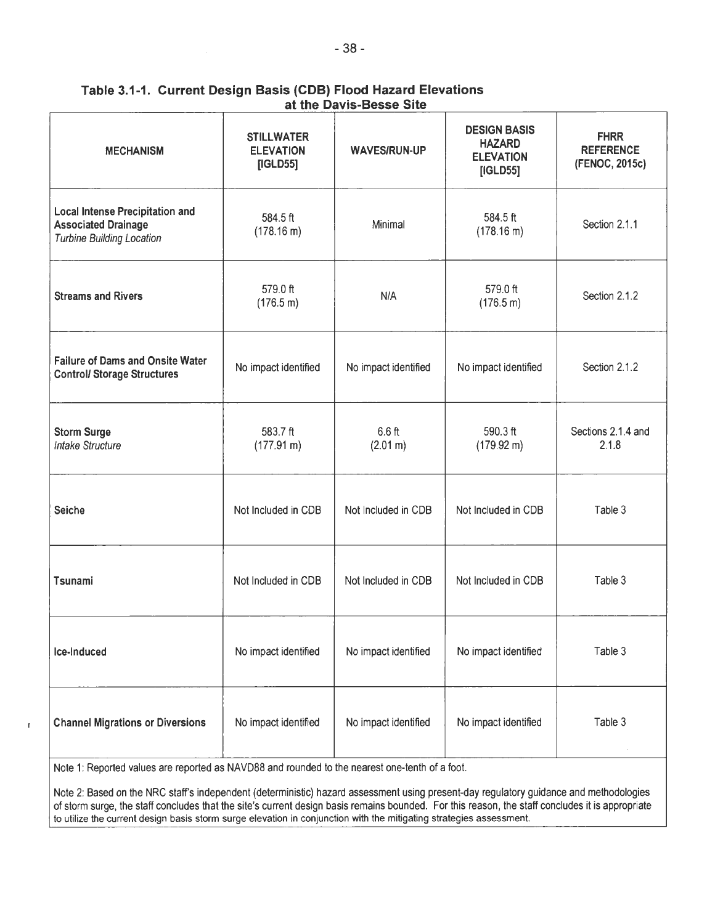| <b>MECHANISM</b>                                                                                         | <b>STILLWATER</b><br><b>ELEVATION</b><br>[IGLD55] | <b>WAVES/RUN-UP</b>                          | <b>DESIGN BASIS</b><br><b>HAZARD</b><br><b>ELEVATION</b><br>[IGLD55] | <b>FHRR</b><br><b>REFERENCE</b><br>(FENOC, 2015c) |
|----------------------------------------------------------------------------------------------------------|---------------------------------------------------|----------------------------------------------|----------------------------------------------------------------------|---------------------------------------------------|
| <b>Local Intense Precipitation and</b><br><b>Associated Drainage</b><br><b>Turbine Building Location</b> | 584.5 ft<br>(178.16 m)                            | Minimal                                      | 584.5 ft<br>(178.16 m)                                               | Section 2.1.1                                     |
| <b>Streams and Rivers</b>                                                                                | 579.0 ft<br>(176.5 m)                             | N/A                                          | 579.0 ft<br>(176.5 m)                                                | Section 2.1.2                                     |
| <b>Failure of Dams and Onsite Water</b><br><b>Control/ Storage Structures</b>                            | No impact identified                              | No impact identified<br>No impact identified |                                                                      | Section 2.1.2                                     |
| <b>Storm Surge</b><br><b>Intake Structure</b>                                                            | 583.7 ft<br>(177.91 m)                            | 6.6 ft<br>(2.01 m)                           | 590.3 ft<br>(179.92 m)                                               | Sections 2.1.4 and<br>2.1.8                       |
| <b>Seiche</b>                                                                                            | Not Included in CDB                               | Not Included in CDB                          | Not Included in CDB                                                  | Table 3                                           |
| Tsunami                                                                                                  | Not Included in CDB                               | Not Included in CDB<br>Not Included in CDB   |                                                                      | Table 3                                           |
| Ice-Induced                                                                                              | No impact identified                              | No impact identified<br>No impact identified |                                                                      | Table 3                                           |
| <b>Channel Migrations or Diversions</b>                                                                  | No impact identified                              | No impact identified                         | No impact identified                                                 | Table 3                                           |

## Table 3.1-1. Current Design Basis (COB) Flood Hazard Elevations at the Davis-Besse Site

Note 1: Reported values are reported as NAV088 and rounded to the nearest one-tenth of a foot.

 $\mathbf{I}$ 

Note 2: Based on the NRC staffs independent (deterministic) hazard assessment using present-day regulatory guidance and methodologies of storm surge, the staff concludes that the site's current design basis remains bounded. For this reason, the staff concludes it is appropriate to utilize the current design basis storm surge elevation in conjunction with the mitigating strategies assessment.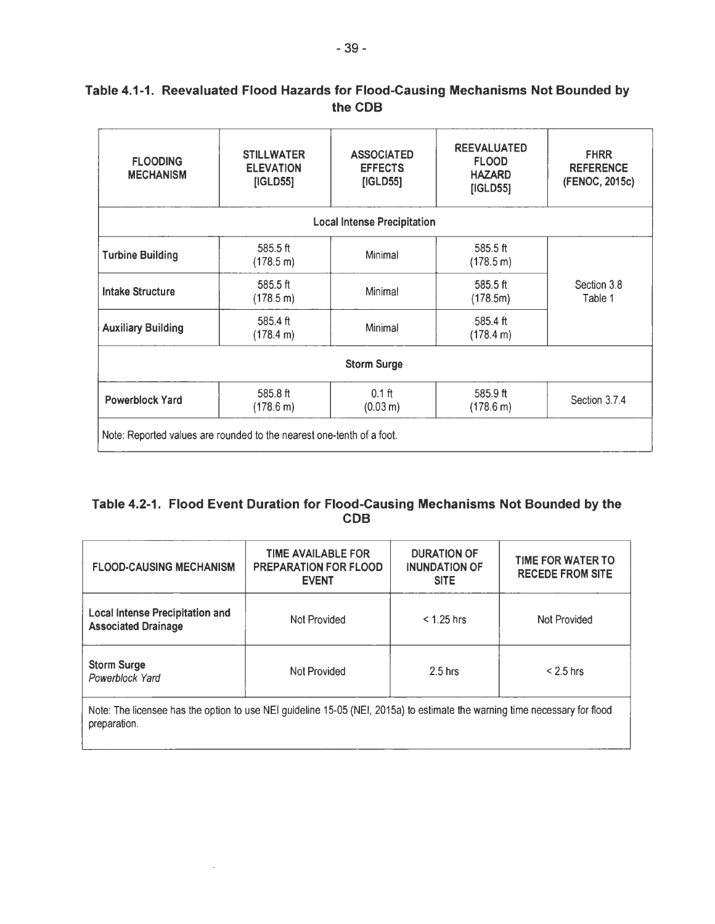# Table 4.1-1. Reevaluated Flood Hazards for Flood-Causing Mechanisms Not Bounded by the COB

| <b>FLOODING</b><br><b>MECHANISM</b>                                   | <b>STILLWATER</b><br><b>ELEVATION</b><br>[IGLD55] | <b>ASSOCIATED</b><br><b>EFFECTS</b><br>[IGLD55] | <b>REEVALUATED</b><br><b>FLOOD</b><br><b>HAZARD</b><br>[IGLD55] | <b>FHRR</b><br><b>REFERENCE</b><br>(FENOC, 2015c) |
|-----------------------------------------------------------------------|---------------------------------------------------|-------------------------------------------------|-----------------------------------------------------------------|---------------------------------------------------|
|                                                                       |                                                   | <b>Local Intense Precipitation</b>              |                                                                 |                                                   |
| <b>Turbine Building</b>                                               | 585.5 ft<br>$(178.5 \text{ m})$                   | Minimal                                         | 585.5 ft<br>(178.5 m)                                           |                                                   |
| <b>Intake Structure</b>                                               | 585.5 ft<br>(178.5 m)                             | Minimal                                         | 585.5 ft<br>(178.5m)                                            | Section 3.8<br>Table 1                            |
| <b>Auxiliary Building</b>                                             | 585.4 ft<br>(178.4 m)                             | Minimal                                         | 585.4 ft<br>(178.4 m)                                           |                                                   |
|                                                                       |                                                   | <b>Storm Surge</b>                              |                                                                 |                                                   |
| <b>Powerblock Yard</b>                                                | 585.8 ft<br>$(178.6 \text{ m})$                   | $0.1$ ft<br>(0.03 m)                            | $585.9$ ft<br>$(178.6 \text{ m})$                               | Section 3.7.4                                     |
| Note: Reported values are rounded to the nearest one-tenth of a foot. |                                                   |                                                 |                                                                 |                                                   |

# Table 4.2-1. Flood Event Duration for Flood-Causing Mechanisms Not Bounded by the COB

| <b>FLOOD-CAUSING MECHANISM</b>                                       | <b>TIME AVAILABLE FOR</b><br><b>PREPARATION FOR FLOOD</b><br><b>EVENT</b> | <b>DURATION OF</b><br><b>INUNDATION OF</b><br><b>SITE</b> | <b>TIME FOR WATER TO</b><br><b>RECEDE FROM SITE</b> |
|----------------------------------------------------------------------|---------------------------------------------------------------------------|-----------------------------------------------------------|-----------------------------------------------------|
| <b>Local Intense Precipitation and</b><br><b>Associated Drainage</b> | <b>Not Provided</b>                                                       | $< 1.25$ hrs                                              | Not Provided                                        |
| <b>Storm Surge</b><br>Not Provided<br>Powerblock Yard                |                                                                           | $2.5$ hrs                                                 | $< 2.5$ hrs                                         |

Note: The licensee has the option to use NEI guideline 15-05 (NEI, 2015a) to estimate the warning time necessary for flood preparation.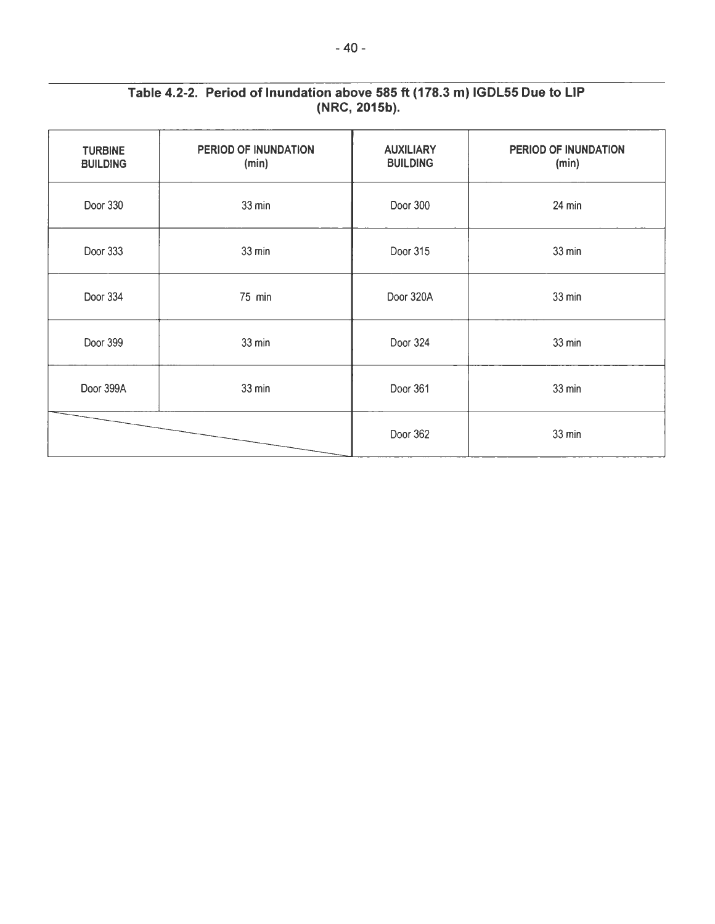| <b>TURBINE</b><br><b>BUILDING</b> | PERIOD OF INUNDATION<br>(min) | <b>AUXILIARY</b><br><b>BUILDING</b> | PERIOD OF INUNDATION<br>(min) |
|-----------------------------------|-------------------------------|-------------------------------------|-------------------------------|
| Door 330                          | $33$ min                      |                                     | 24 min                        |
| Door 333                          | 33 min                        |                                     | $33$ min                      |
| Door 334                          | 75 min                        |                                     | 33 min                        |
| Door 399<br>33 min                |                               | Door 324                            | 33 min                        |
| Door 399A<br>33 min               |                               | Door 361                            | 33 min                        |
|                                   |                               | Door 362                            | 33 min                        |
|                                   |                               |                                     |                               |

# Table 4.2-2. Period of Inundation above 585 ft (178.3 m) IGDL55 Due to LIP (NRC, 2015b).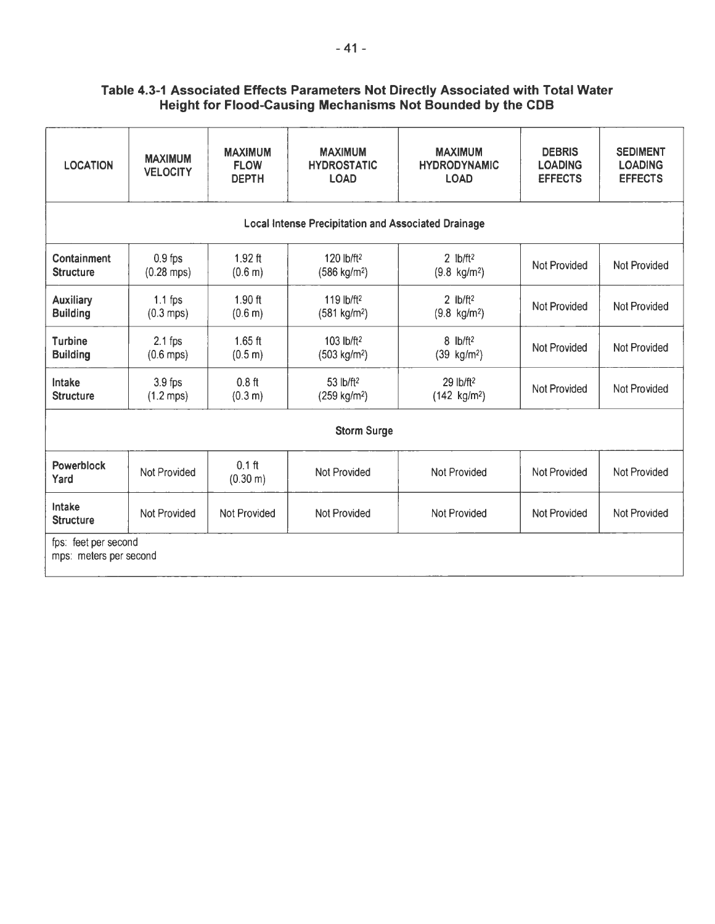# Table 4.3-1 Associated Effects Parameters Not Directly Associated with Total Water Height for Flood-Causing Mechanisms Not Bounded by the COB

| <b>LOCATION</b>                                | <b>MAXIMUM</b><br><b>VELOCITY</b> | <b>MAXIMUM</b><br><b>FLOW</b><br><b>DEPTH</b> | <b>MAXIMUM</b><br><b>HYDROSTATIC</b><br><b>LOAD</b>        | <b>MAXIMUM</b><br><b>HYDRODYNAMIC</b><br><b>LOAD</b> | <b>DEBRIS</b><br><b>LOADING</b><br><b>EFFECTS</b> | <b>SEDIMENT</b><br><b>LOADING</b><br><b>EFFECTS</b> |
|------------------------------------------------|-----------------------------------|-----------------------------------------------|------------------------------------------------------------|------------------------------------------------------|---------------------------------------------------|-----------------------------------------------------|
|                                                |                                   |                                               | <b>Local Intense Precipitation and Associated Drainage</b> |                                                      |                                                   |                                                     |
| Containment<br><b>Structure</b>                | $0.9$ fps<br>$(0.28$ mps)         | $1.92$ ft<br>(0.6 m)                          | 120 lb/ft <sup>2</sup><br>$(586 \text{ kg/m}^2)$           | $2$ lb/ft <sup>2</sup><br>$(9.8 \text{ kg/m}^2)$     | <b>Not Provided</b>                               | <b>Not Provided</b>                                 |
| <b>Auxiliary</b><br><b>Building</b>            | $1.1$ fps<br>$(0.3$ mps)          | $1.90$ ft<br>(0.6 m)                          | 119 lb/ft <sup>2</sup><br>(581 kg/m <sup>2</sup> )         | 2 $lb/ft2$<br>$(9.8 \text{ kg/m}^2)$                 | Not Provided                                      | <b>Not Provided</b>                                 |
| <b>Turbine</b><br><b>Building</b>              | $2.1$ fps<br>$(0.6$ mps)          | $1.65$ ft<br>(0.5 m)                          | 103 lb/ft <sup>2</sup><br>(503 kg/m <sup>2</sup> )         | $8$ lb/ft <sup>2</sup><br>$(39 \text{ kg/m}^2)$      | <b>Not Provided</b>                               | <b>Not Provided</b>                                 |
| Intake<br><b>Structure</b>                     | $3.9$ fps<br>$(1.2$ mps)          | $0.8$ ft<br>(0.3 m)                           | 53 lb/ft <sup>2</sup><br>(259 kg/m <sup>2</sup> )          | 29 lb/ft <sup>2</sup><br>$(142 \text{ kg/m}^2)$      | Not Provided                                      | Not Provided                                        |
|                                                |                                   |                                               | <b>Storm Surge</b>                                         |                                                      |                                                   |                                                     |
| Powerblock<br>Yard                             | Not Provided                      | $0.1$ ft<br>$(0.30 \text{ m})$                | <b>Not Provided</b>                                        | <b>Not Provided</b>                                  | Not Provided                                      | Not Provided                                        |
| Intake<br><b>Structure</b>                     | Not Provided                      | <b>Not Provided</b>                           | Not Provided                                               | <b>Not Provided</b>                                  | <b>Not Provided</b>                               | Not Provided                                        |
| fps: feet per second<br>mps: meters per second |                                   |                                               |                                                            |                                                      |                                                   |                                                     |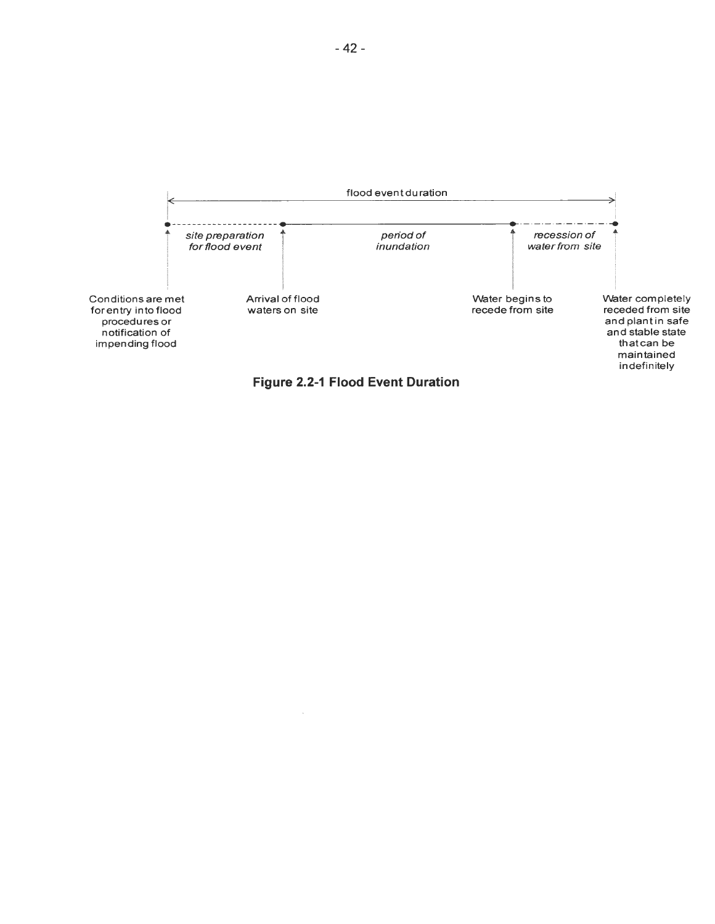



 $\bar{\bar{z}}$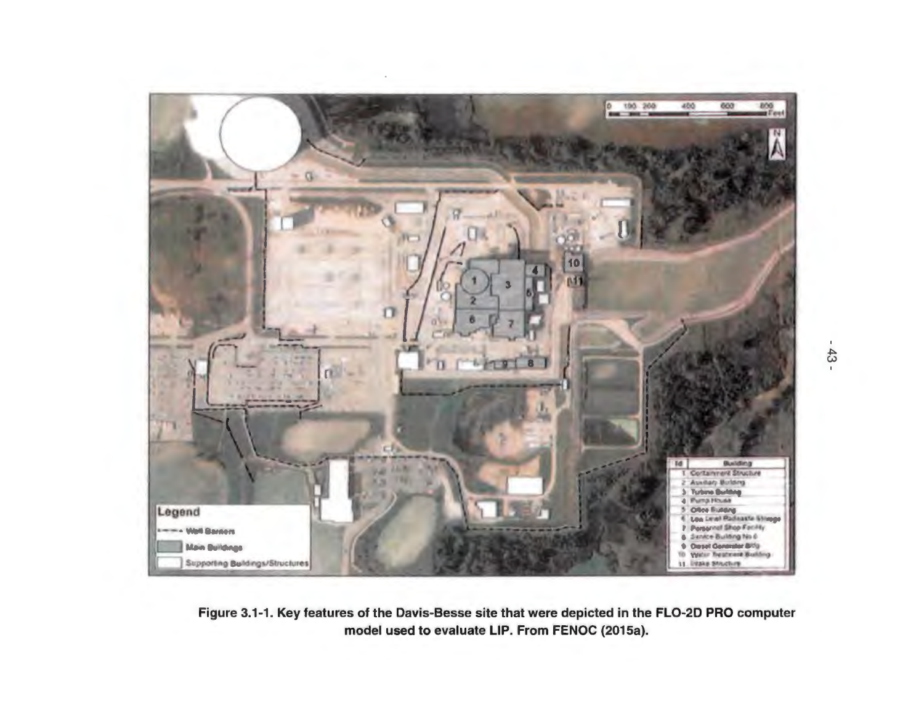

Figure 3.1-1. Key features of the Davis-Besse site that were depicted in the FL0-20 PRO computer model used to evaluate LIP. From FENOC (2015a).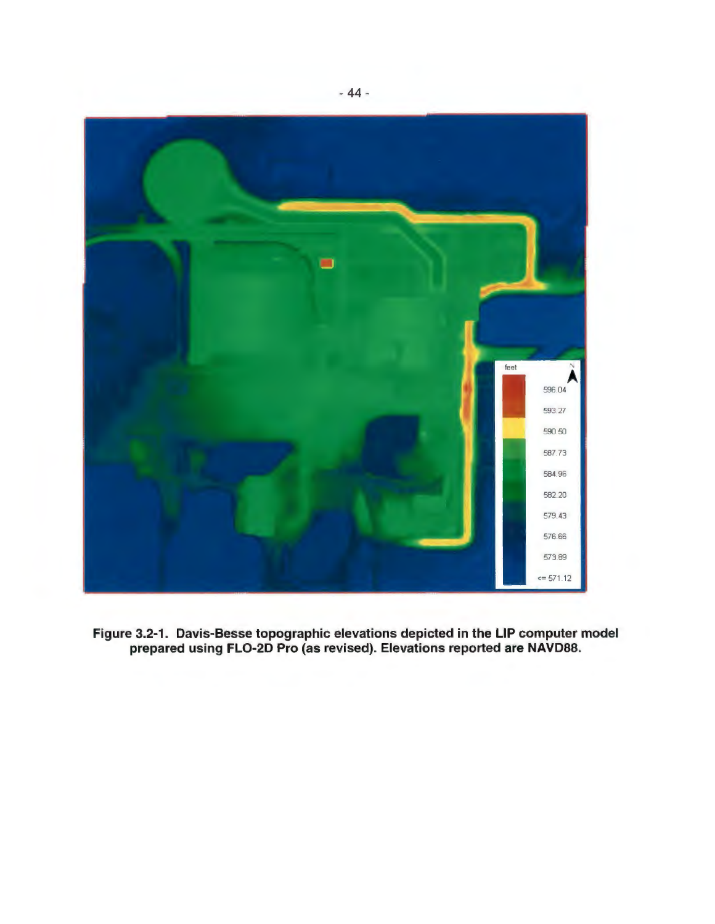

**Figure 3.2-1 . Davis-Besse topographic elevations depicted in the LIP computer model prepared using FL0-20 Pro** (as **revised). Elevations reported are NAVD88.**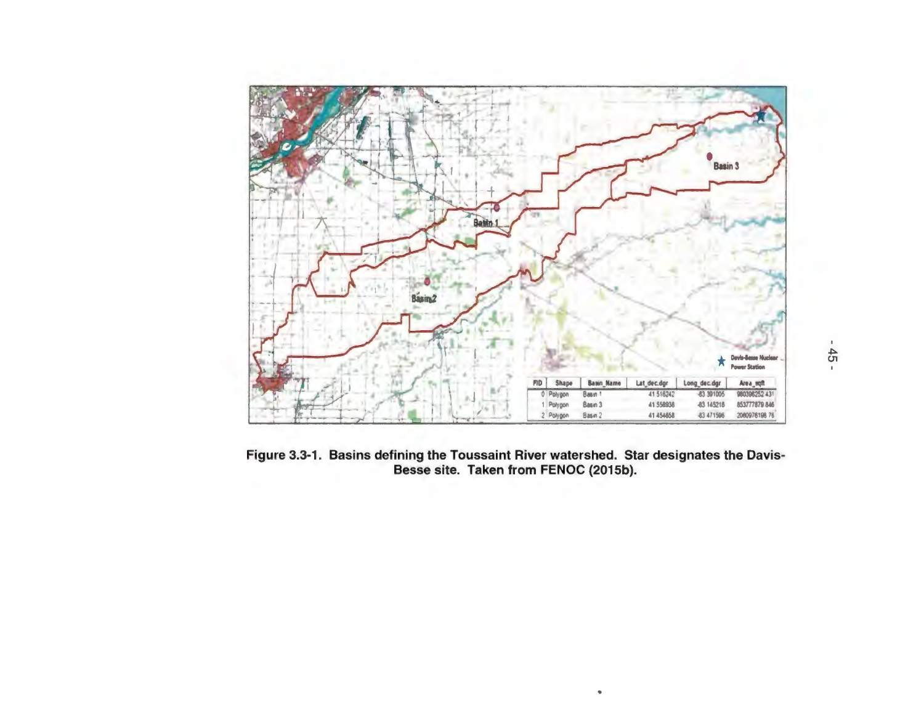

Figure 3.3-1. Basins defining the Toussaint River watershed. Star designates the Davis-Besse site. Taken from FENOC (2015b).

•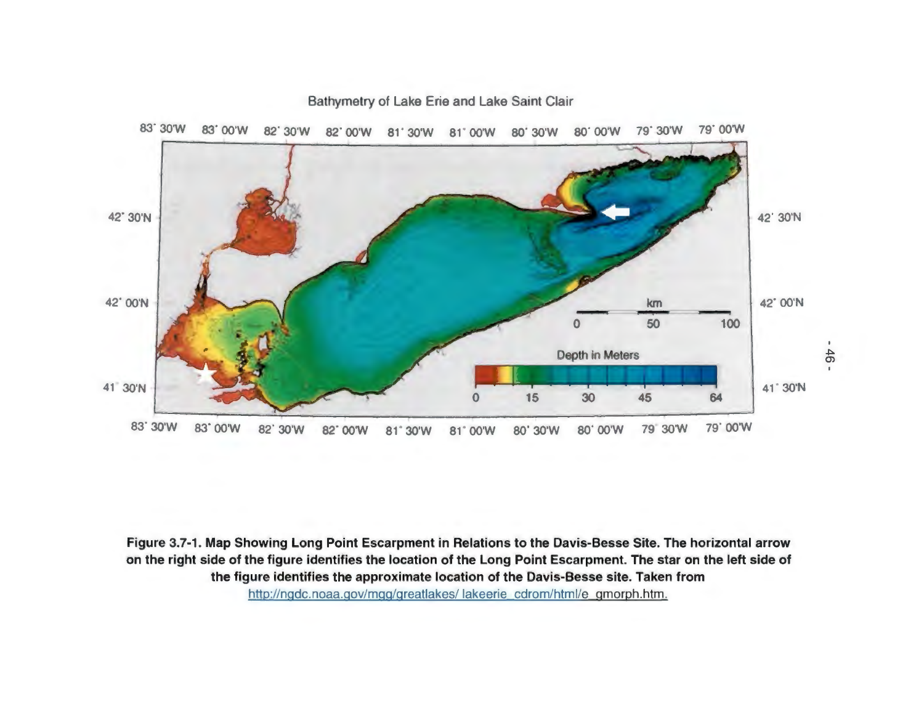

Figure 3.7-1. Map Showing Long Point Escarpment in Relations to the Davis-Besse Site. The horizontal arrow on the right side of the figure identifies the location of the Long Point Escarpment. The star on the left side of the figure identifies the approximate location of the Davis-Besse site. Taken from http://ngdc.noaa.gov/mgg/greatlakes/ lakeerie cdrom/html/e gmorph.htm.